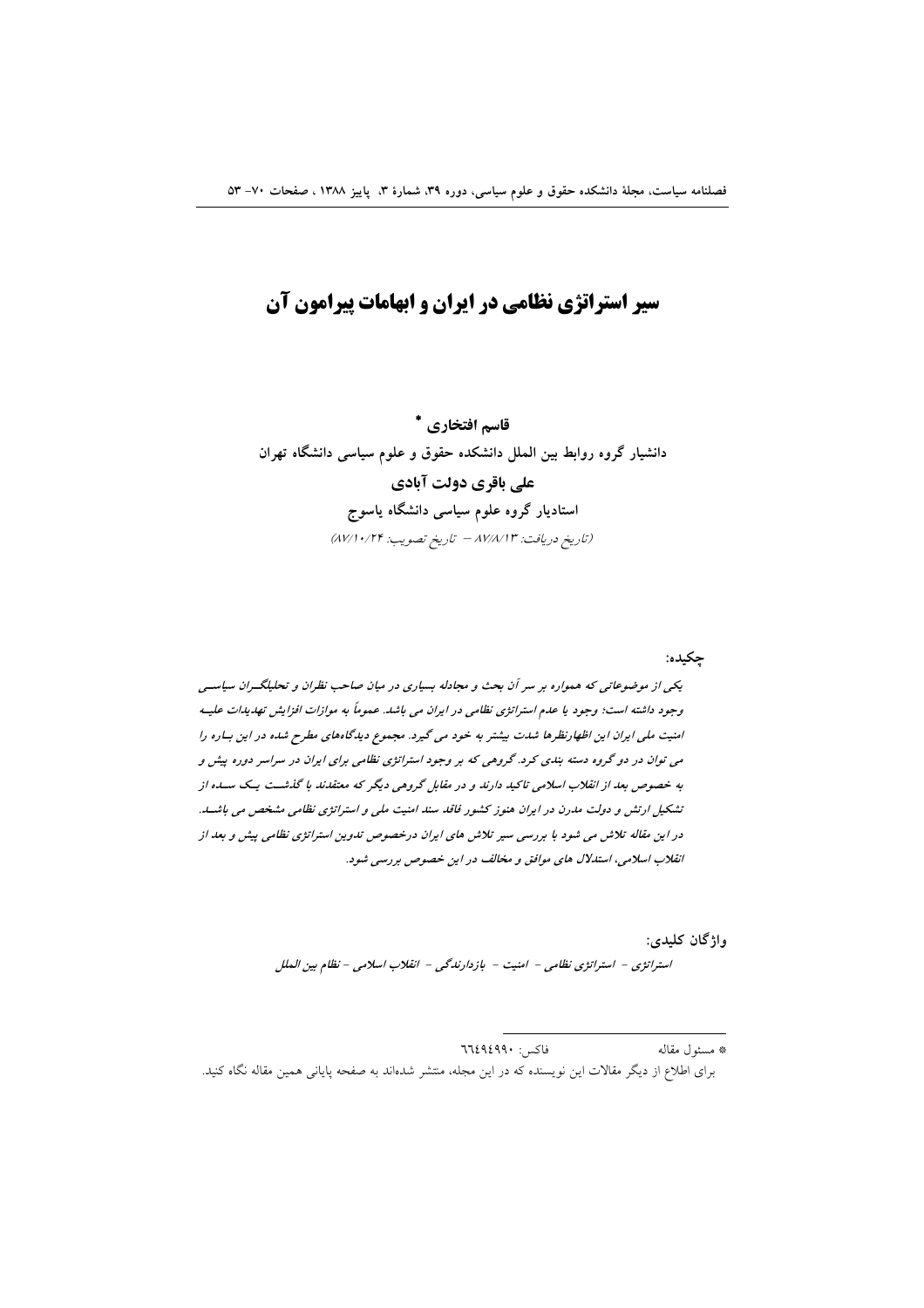# سیر استراتژی نظامی در ایران و ابهامات پیرامون آن

قاسم افتخاري \* دانشیار گروه روابط بین الملل دانشکده حقوق و علوم سیاسی دانشگاه تهران علی باقری دولت آبادی استادیار گروه علوم سیاسی دانشگاه یاسوج (تاريخ دريافت: ٨٧/٨/١٣ - تاريخ تصويب: ٨٧/١٠/٢۴)

چکیده:

یکی از موضوعاتی که همواره بر سر آن بحث و مجادله بسیاری در میان صاحب نظران و تحلیلگـران سیاسـی وجود داشته است؛ وجود یا عدم استراتژی نظامی در ایران می باشد. عموماً به موازات افزایش تهدیدات علیـه امنیت ملی ایران این اظهارنظرها شدت بیشتر به خود می گیرد. مجموع دیدگاههای مطرح شده در این بساره را می توان در دو گروه دسته بندی کرد. گروهی که بر وجود استراتژی نظامی برای ایران در سراسر دوره پیش و به خصوص بعد از انقلاب اسلامی تاکید دارند و در مقابل گروهی دیگر که معتقدند با گذشت یک سله از .<br>تشکیل ارتش و دولت مدرن در ایران هنوز کشور فاقد سند امنیت مل<sub>ی</sub> و استراتژی نظامی مشخص می باشد. در این مقاله تلاش می شود با بررسی سیر تلاش های ایران درخصوص تدوین استراتژی نظامی بیش و بعد از انقلاب اسلامی، استدلال های موافق و مخالف در این خصوص بررسی شود.

واژگان کليدي:

استراتژي - استراتژي نظامي - امنيت - بازدارندگي - انقلاب اسلامي - نظام بين الملل

فاكس: ٦٦٤٩٤٩٩٠ \* مسئول مقاله برای اطلاع از دیگر مقالات این نویسنده که در این مجله، منتشر شدهاند به صفحه پایانی همین مقاله نگاه کنید.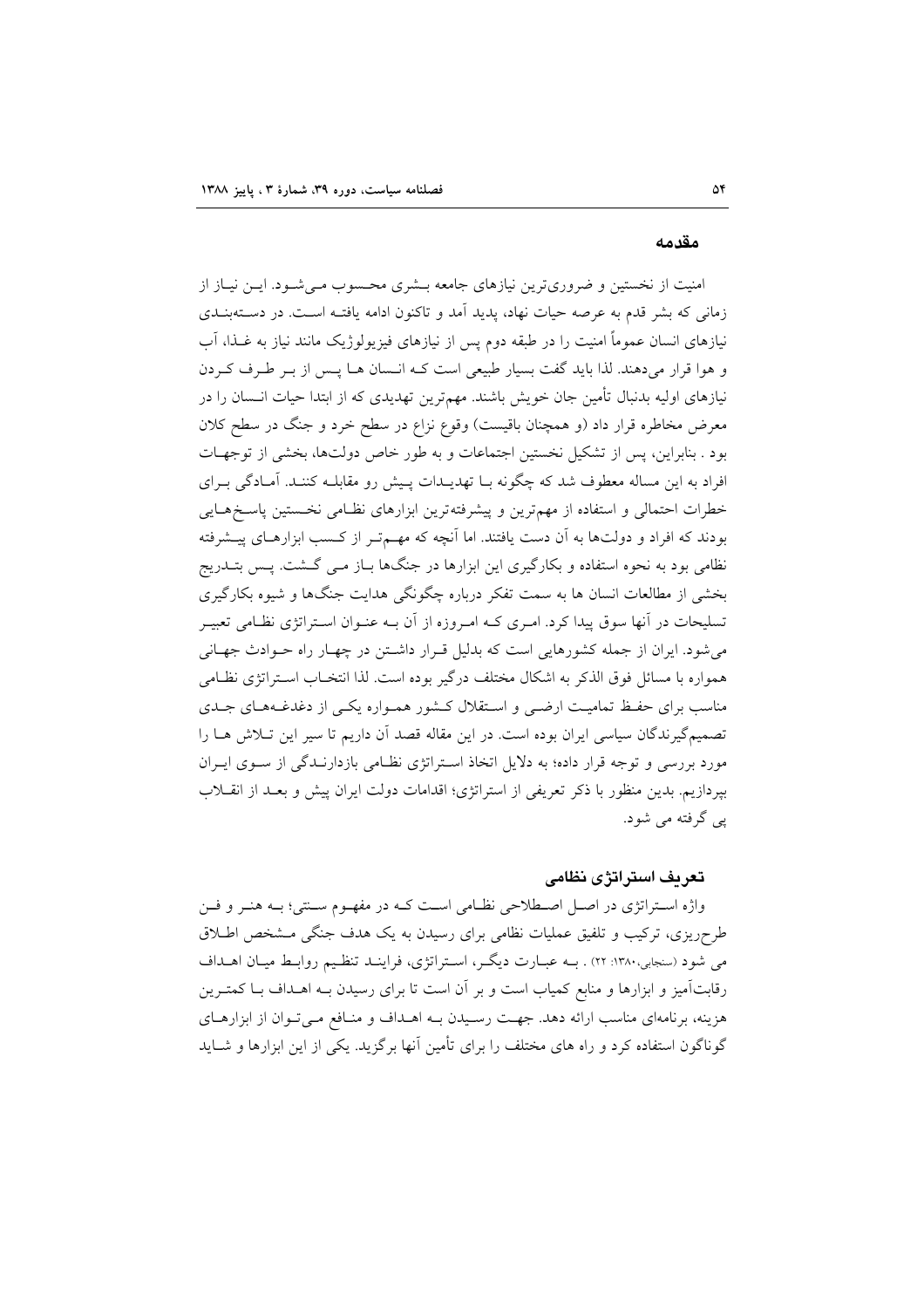#### مقدمه

امنیت از نخستین و ضروریترین نیازهای جامعه بـشری محـسوب مـیشـود. ایـن نیـاز از زمانی که بشر قدم به عرصه حیات نهاد، پدید آمد و تاکنون ادامه یافتـه اسـت. در دسـتهبنـدی نیازهای انسان عموماً امنیت را در طبقه دوم پس از نیازهای فیزیولوژیک مانند نیاز به غــذا، آب و هوا قرار میدهند. لذا باید گفت بسیار طبیعی است کـه انـسان هـا پـس از بـر طـرف کـردن نیازهای اولیه بدنبال تأمین جان خویش باشند. مهمترین تهدیدی که از ابتدا حیات انــسان را در معرض مخاطره قرار داد (و همچنان باقیست) وقوع نزاع در سطح خرد و جنگ در سطح کلان بود . بنابراین، پس از تشکیل نخستین اجتماعات و به طور خاص دولتها، بخشی از توجهـات افراد به این مساله معطوف شد که چگونه بـا تهدیـدات پـیش رو مقابلــه کننــد. آمــادگی بــرای خطرات احتمالی و استفاده از مهمترین و پیشرفتهترین ابزارهای نظامی نخستین پاسخهایی بودند که افراد و دولتها به آن دست یافتند. اما آنچه که مهــمتــر از کــسب ابزارهــای پیــشرفته نظامی بود به نحوه استفاده و بکارگیری این ابزارها در جنگها بـاز مـی گـشت. پـس بتــدریج بخشی از مطالعات انسان ها به سمت تفکر درباره چگونگی هدایت جنگها و شیوه بکارگیری تسلیحات در آنها سوق پیدا کرد. امـری کــه امـروزه از آن بــه عنــوان اســتراتژی نظــامی تعبیــر می شود. ایران از جمله کشورهایی است که بدلیل قرار داشتن در چهار راه حـوادث جهـانی همواره با مسائل فوق الذكر به اشكال مختلف درگير بوده است. لذا انتخــاب اســتراتژي نظــامي مناسب برای حفیظ تمامیت ارضبی و استقلال کشور همبواره یکبی از دغدغـههـای جـدی تصمیمگیرندگان سیاسی ایران بوده است. در این مقاله قصد آن داریم تا سیر این تـلاش هــا را مورد بررسی و توجه قرار داده؛ به دلایل اتخاذ استراتژی نظامی بازدارنـدگی از سـوی ایـران بپردازیم. بدین منظور با ذکر تعریفی از استراتژی؛ اقدامات دولت ایران پیش و بعـد از انقــلاب یبي گرفته مي شود.

#### تعريف استراتژي نظامي

واژه استراتژی در اصل اصطلاحی نظامی است کـه در مفهـوم سـنتی؛ بـه هنـر و فـن طرحریزی، ترکیب و تلفیق عملیات نظامی برای رسیدن به یک هدف جنگی مشخص اطلاق می شود (سنجابی،۱۳۸۰: ۲۲) . بـه عبـارت دیگـر، اسـتراتژی، فراینـد تنظـیم روابـط میـان اهـداف رقابتآمیز و ابزارها و منابع کمیاب است و بر آن است تا برای رسیدن بـه اهــداف بــا کمتــرین هزینه، برنامهای مناسب ارائه دهد. جهت رسیدن بـه اهـداف و منـافع مـی تـوان از ابزارهـای گوناگون استفاده کرد و راه های مختلف را برای تأمین آنها برگزید. یکی از این ابزارها و شباید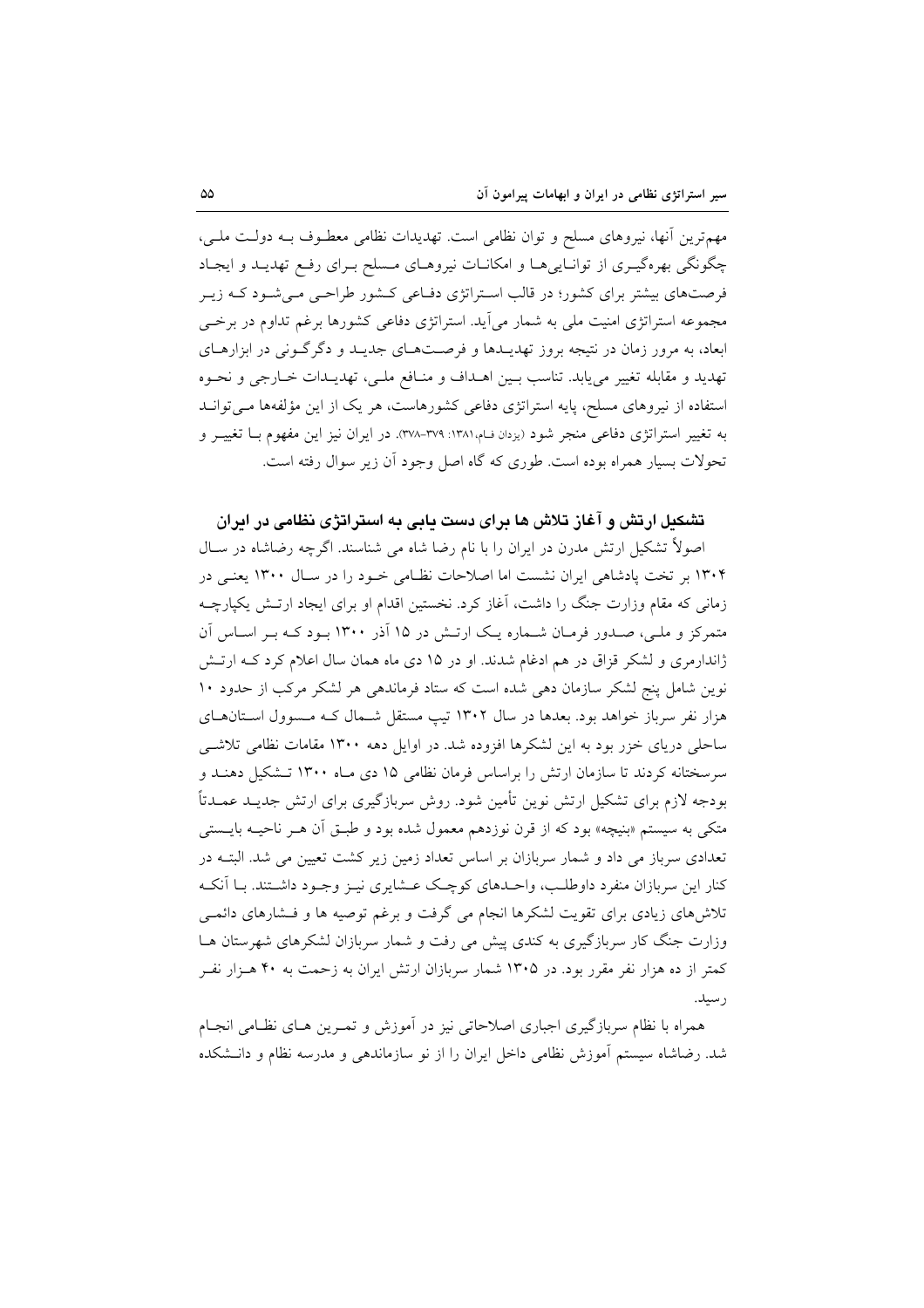مهمترین آنها، نیروهای مسلح و توان نظامی است. تهدیدات نظامی معطـوف بـه دولـت ملـی، چگونگی بهرهگیـری از توانـاییهـا و امکانـات نیروهـای مـسلح بـرای رفـع تهدیـد و ایجـاد فرصتهای بیشتر برای کشور؛ در قالب استراتژی دفـاعی کـشور طراحـی مـیشـود کـه زیـر مجموعه استراتژی امنیت ملی به شمار میآید. استراتژی دفاعی کشورها برغم تداوم در برخـی ابعاد، به مرور زمان در نتیجه بروز تهدیــدها و فرصــتهــای جدیــد و دگرگــونی در ابزارهــای تهديد و مقابله تغيير مي يابد. تناسب بيين اهـداف و منـافع ملـي، تهديـدات خـارجي و نحـوه استفاده از نیروهای مسلح، پایه استراتژی دفاعی کشورهاست، هر یک از این مؤلفهها مےتوانـد به تغییر استراتژی دفاعی منجر شود (بردان ف)۱۳۸۸: ۳۷۹-۳۷۸. در ایران نیز این مفهوم بـا تغییـر و تحولات بسیار همراه بوده است. طوری که گاه اصل وجود اّن زیر سوال رفته است.

## تشکیل ارتش و آغاز تلاش ها برای دست بایی به استراتژی نظامی در ایران

اصولاً تشکیل ارتش مدرن در ایران را با نام رضا شاه می شناسند. اگرچه رضاشاه در سـال ۱۳۰۴ بر تخت یادشاهی ایران نشست اما اصلاحات نظـامی خـود را در سـال ۱۳۰۰ یعنـی در زمانی که مقام وزارت جنگ را داشت، آغاز کرد. نخستین اقدام او برای ایجاد ارتـش یکپارچــه متمرکز و ملـی، صـدور فرمـان شـماره یـک ارتـش در ۱۵ آذر ۱۳۰۰ بـود کـه بـر اسـاس آن ژاندارمری و لشکر قزاق در هم ادغام شدند. او در ۱۵ دی ماه همان سال اعلام کرد کـه ارتـش نوین شامل پنج لشکر سازمان دهی شده است که ستاد فرماندهی هر لشکر مرکب از حدود ۱۰ هزار نفر سرباز خواهد بود. بعدها در سال ۱۳۰۲ تیپ مستقل شـمال کـه مـسوول اسـتانهـای ساحلی دریای خزر بود به این لشکرها افزوده شد. در اوایل دهه ۱۳۰۰ مقامات نظامی تلاشبی سرسختانه کردند تا سازمان ارتش را براساس فرمان نظامی ۱۵ دی مـاه ۱۳۰۰ تـشکیل دهنـد و بودجه لازم برای تشکیل ارتش نوین تأمین شود. روش سربازگیری برای ارتش جدیــد عمــدتاً متکی به سیستم «بنیچه» بود که از قرن نوزدهم معمول شده بود و طبـق اّن هـر ناحیــه بایــستی تعدادی سرباز می داد و شمار سربازان بر اساس تعداد زمین زیر کشت تعیین می شد. البتــه در کنار این سربازان منفرد داوطلب، واحـدهای کوچـک عــشایری نیــز وجــود داشــتند. بــا آنکــه تلاشهای زیادی برای تقویت لشکرها انجام می گرفت و برغم توصیه ها و فـشارهای دائمـی وزارت جنگ کار سربازگیری به کندی پیش می رفت و شمار سربازان لشکرهای شهرستان هـا کمتر از ده هزار نفر مقرر بود. در ۱۳۰۵ شمار سربازان ارتش ایران به زحمت به ۴۰ هـزار نفـر ر سىل.

همراه با نظام سربازگیری اجباری اصلاحاتی نیز در آموزش و تمـرین هـای نظـامی انجـام شد. رضاشاه سیستم اَموزش نظامی داخل ایران را از نو سازماندهی و مدرسه نظام و دانـشکده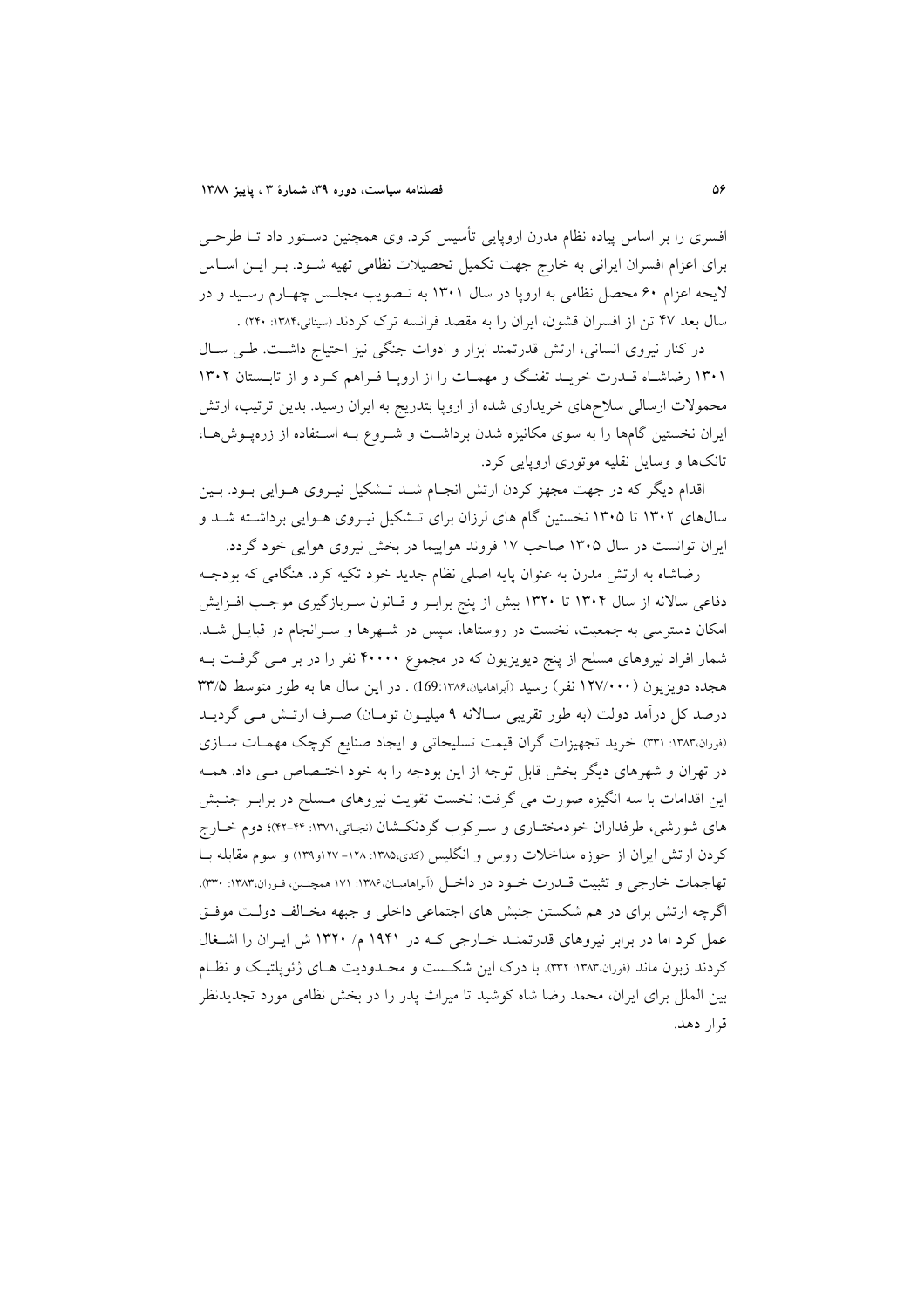افسری را بر اساس پیاده نظام مدرن اروپایی تأسیس کرد. وی همچنین دسـتور داد تــا طرحــی برای اعزام افسران ایرانی به خارج جهت تکمیل تحصیلات نظامی تهیه شـود. بـر ایـن اسـاس لايحه اعزام ۶۰ محصل نظامي به ارويا در سال ۱۳۰۱ به تـصويب مجلـس چهـارم رسـيد و در سال بعد ۴۷ تن از افسران قشون، ایران را به مقصد فرانسه ترک کردند (سینائی،۱۳۸۴: ۲۴۰) .

در کنار نیروی انسانی، ارتش قدرتمند ابزار و ادوات جنگی نیز احتیاج داشت. طـی سـال ۱۳۰۱ رضاشاه قـدرت خريـد تفنـگ و مهمـات را از اروپـا فـراهم كـرد و از تابـستان ۱۳۰۲ محمولات ارسالی سلاحهای خریداری شده از اروپا بتدریج به ایران رسید. بدین ترتیب، ارتش ایران نخستین گامها را به سوی مکانیزه شدن برداشت و شـروع بـه اسـتفاده از زرهیـوشهـا، تانکها و وسایل نقلیه موتوری اروپایی کرد.

اقدام دیگر که در جهت مجهز کردن ارتش انجـام شـد تـشکیل نیـروی هـوایی بـود. بـین سالهای ۱۳۰۲ تا ۱۳۰۵ نخستین گام های لرزان برای تـشکیل نیـروی هـوایی برداشـته شـد و ایران توانست در سال ۱۳۰۵ صاحب ۱۷ فروند هواپیما در بخش نیروی هوایی خود گردد.

رضاشاه به ارتش مدرن به عنوان پایه اصلی نظام جدید خود تکیه کرد. هنگامی که بودجـه دفاعی سالانه از سال ۱۳۰۴ تا ۱۳۲۰ بیش از پنج برابـر و قـانون سـربازگیری موجـب افـزایش امکان دسترسی به جمعیت، نخست در روستاها، سپس در شـهرها و سـرانجام در قبایـل شـد. شمار افراد نیروهای مسلح از پنج دیویزیون که در مجموع ۴۰۰۰۰ نفر را در بر مـی گرفـت بـه هجده دویزیون (۱۲۷/۰۰۰ نفر) رسید (آبراهامیان،۱۳۸۶:169) . در این سال ها به طور متوسط ۳۳/۵ درصد کل درآمد دولت (به طور تقریبی سـالانه ۹ میلیـون تومـان) صـرف ارتـش مـی گردیــد (نوران،١٣٨٣: ٣٣١). خريد تجهيزات گران قيمت تسليحاتي و ايجاد صنايع كوچک مهمـات سـازي در تهران و شهرهای دیگر بخش قابل توجه از این بودجه را به خود اختـصاص مـی داد. همـه این اقدامات با سه انگیزه صورت می گرفت: نخست تقویت نیروهای مـسلح در برابـر جنـبش های شورشی، طرفداران خودمختـاری و سـرکوب گردنکـشان (نجـاتی،١٣٧١: ۴۴-۴۲)؛ دوم خــارج کردن ارتش ایران از حوزه مداخلات روس و انگلیس (کدی،۱۳۸۵: ۱۲۸-۱۲۷و۱۳۹) و سوم مقابله بــا تهاجمات خارجي و تثبيت قـــدرت خــود در داخــل (أبراهاميـان،١٣٨۶: ١٧١ همچنــين، فـوران،١٣٨٣: ٣٣٠). اگرچه ارتش برای در هم شکستن جنبش های اجتماعی داخلی و جبهه مخـالف دولـت موفـق عمل کرد اما در برابر نیروهای قدرتمنـد خـارجی کـه در ۱۹۴۱ م/ ۱۳۲۰ ش ایـران را اشـغال کردند زبون ماند (نوران،۱۳۸۳: ۳۳۲). با درک این شکست و محـدودیت هـای ژئویلتیـک و نظـام بین الملل برای ایران، محمد رضا شاه کوشید تا میراث یدر را در بخش نظامی مورد تجدیدنظر قرار دهد.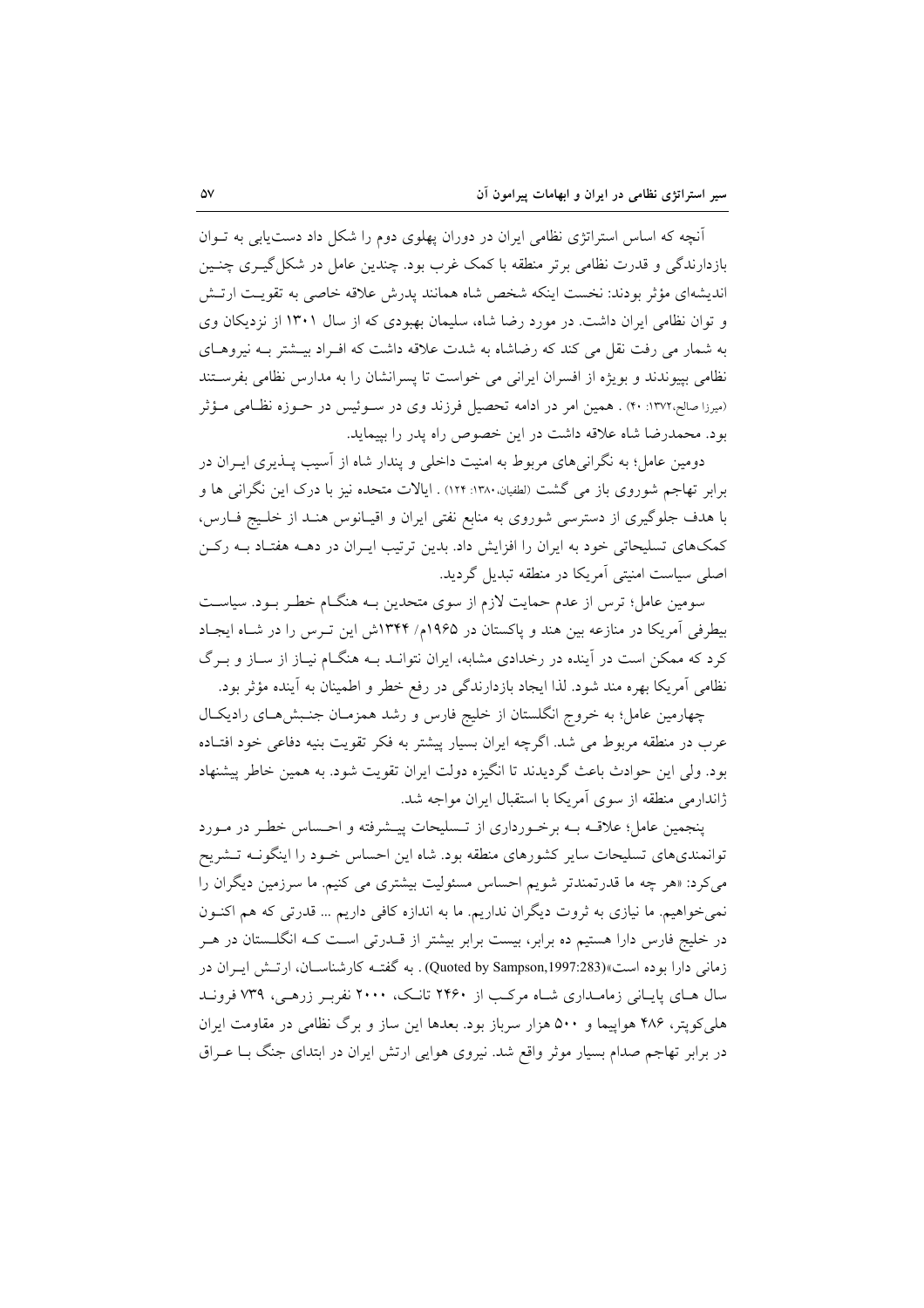آنچه که اساس استراتژی نظامی ایران در دوران پهلوی دوم را شکل داد دست یابی به تـوان بازدارندگی و قدرت نظامی برتر منطقه با کمک غرب بود. چندین عامل در شکل گیـری چنـین اندیشهای مؤثر بودند: نخست اینکه شخص شاه همانند پدرش علاقه خاصی به تقویت ارتـش و توان نظامی ایران داشت. در مورد رضا شاه، سلیمان بهبودی که از سال ۱۳۰۱ از نزدیکان وی به شمار می رفت نقل می کند که رضاشاه به شدت علاقه داشت که افـراد بیــشتر بــه نیروهــای نظامی بپیوندند و بویژه از افسران ایرانی می خواست تا پسرانشان را به مدارس نظامی بفرستند (میرزا صالح،١٣٧٢: ۴٠) . همین امر در ادامه تحصیل فرزند وی در سـوئیس در حـوزه نظـامی مـؤثر بود. محمدرضا شاه علاقه داشت در این خصوص راه یدر را بپیماید.

دومین عامل؛ به نگرانی های مربوط به امنیت داخلی و پندار شاه از آسیب پــذیری ایــران در برابر تهاجم شوروی باز می گشت (لطفیان، ۱۳۸۰: ۱۲۴) . ایالات متحده نیز با درک این نگرانی ها و با هدف جلوگیری از دسترسی شوروی به منابع نفتی ایران و اقیـانوس هنـد از خلـیج فـارس، کمکهای تسلیحاتی خود به ایران را افزایش داد. بدین ترتیب ایـران در دهــه هفتـاد بــه رکــن اصلی سیاست امنیتی آمریکا در منطقه تبدیل گردید.

سومین عامل؛ ترس از عدم حمایت لازم از سوی متحدین بـه هنگـام خطـر بـود. سیاسـت بیطرفی آمریکا در منازعه بین هند و پاکستان در ۱۹۶۵م/ ۱۳۴۴ش این تـرس را در شـاه ایجـاد کرد که ممکن است در آینده در رخدادی مشابه، ایران نتوانـد بـه هنگـام نیـاز از سـاز و بـرگ نظامی آمریکا بهره مند شود. لذا ایجاد بازدارندگی در رفع خطر و اطمینان به آینده مؤثر بود.

چهارمین عامل؛ به خروج انگلستان از خلیج فارس و رشد همزمـان جنـبش۵حـای رادیکـال عرب در منطقه مربوط می شد. اگرچه ایران بسیار پیشتر به فکر تقویت بنیه دفاعی خود افتـاده بود. ولي اين حوادث باعث گرديدند تا انگيزه دولت ايران تقويت شود. به همين خاطر پيشنهاد ژاندارمی منطقه از سوی آمریکا با استقبال ایران مواجه شد.

پنجمین عامل؛ علاقـه بـه برخـورداری از تـسلیحات پیـشرفته و احـساس خطـر در مـورد توانمندیهای تسلیحات سایر کشورهای منطقه بود. شاه این احساس خـود را اینگونــه تـشریح می کرد: «هر چه ما قدرتمندتر شویم احساس مسئولیت بیشتری می کنیم. ما سرزمین دیگران را نمي خواهيم. ما نيازي به ثروت ديگران نداريم. ما به اندازه كافي داريم ... قدرتي كه هم اكنـون در خلیج فارس دارا هستیم ده برابر، بیست برابر بیشتر از قــدرتی اســت کــه انگلــستان در هــر زمانی دارا بوده است»(Quoted by Sampson,1997:283) . به گفتـه کارشناســان، ارتــش ايــران در سال هـای پایـانی زمامـداری شـاه مرکـب از ۲۴۶۰ تانـک، ۲۰۰۰ نفربـر زرهـی، ۷۳۹ فرونـد هلمی کویتر، ۴۸۶ هواپیما و ۵۰۰ هزار سرباز بود. بعدها این ساز و برگ نظامی در مقاومت ایران در برابر تهاجم صدام بسیار موثر واقع شد. نیروی هوایی ارتش ایران در ابتدای جنگ بـا عـراق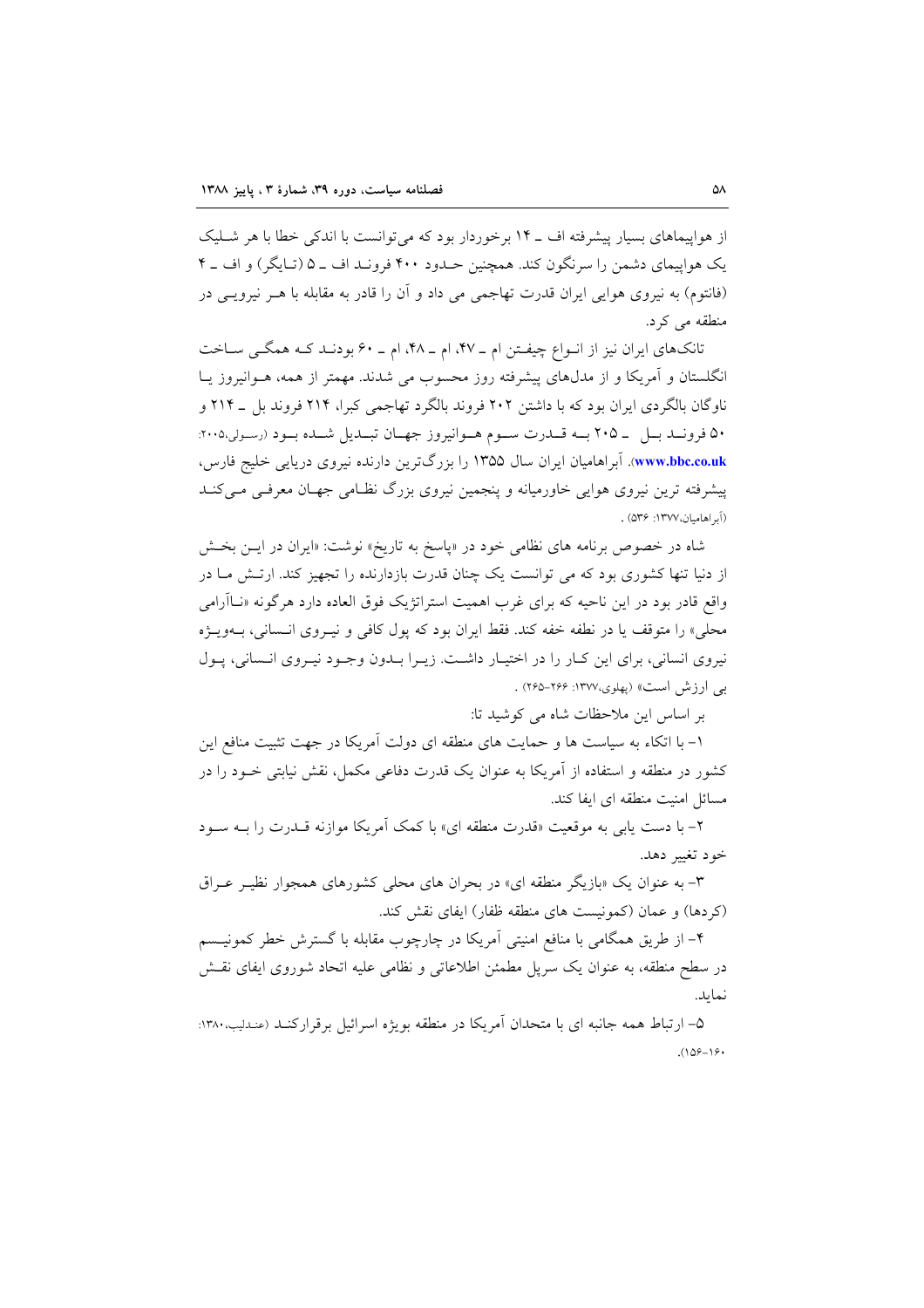از هواپیماهای بسیار پیشرفته اف ـ ۱۴ برخوردار بود که می توانست با اندکی خطا با هر شـلیک یک هواپیمای دشمن را سرنگون کند. همچنین حـدود ۴۰۰ فرونـد اف ـ ۵ (تـایگر) و اف ـ ۴ (فانتوم) به نیروی هوایی ایران قدرت تهاجمی می داد و اَن را قادر به مقابله با هــر نیرویــی در منطقه می کرد.

تانکهای ایران نیز از انواع چیفـتن ام ـ ۴۷، ام ـ ۴۸، ام ـ ۶۰ بودنـد کـه همگـی سـاخت انگلستان و آمریکا و از مدلهای پیشرفته روز محسوب می شدند. مهمتر از همه، هــوانیروز یــا ناوگان بالگردی ایران بود که با داشتن ۲۰۲ فروند بالگرد تهاجمی کبرا، ۲۱۴ فروند بل \_ ۲۱۴ و ۵۰ فرونـد بـل \_ ۲۰۵ بـه قــدرت سـوم هــوانيروز جهـان تبـديل شــده بـود (رسولي٢٠٠٥: www.bbc.co.uk). آبراهامیان ایران سال ۱۳۵۵ را بزرگترین دارنده نیروی دریایی خلیج فارس، پیشرفته ترین نیروی هوایی خاورمیانه و پنجمین نیروی بزرگ نظـامی جهـان معرفـی مـی کنــد (آبر اهاميان،١٣٧٧: ٥٣۶) .

شاه در خصوص برنامه های نظامی خود در «پاسخ به تاریخ» نوشت: «ایران در ایــن بخــش از دنیا تنها کشوری بود که می توانست یک چنان قدرت بازدارنده را تجهیز کند. ارتش مـا در واقع قادر بود در این ناحیه که برای غرب اهمیت استراتژیک فوق العاده دارد هرگونه «نــاأرامی محلي» را متوقف يا در نطفه خفه كند. فقط ايران بود كه پول كافي و نيـروي انــساني، بــهويــژه نیروی انسانی، برای این کبار را در اختیبار داشت. زیبرا بندون وجبود نیبروی انسانی، پیول بی ارزش است» (پهلوی،۱۳۷۷: ۲۶۶–۲۶۵) .

بر اساس این ملاحظات شاه می کوشید تا:

١- با اتكاء به سياست ها و حمايت هاى منطقه اى دولت آمريكا در جهت تثبيت منافع اين کشور در منطقه و استفاده از آمریکا به عنوان یک قدرت دفاعی مکمل، نقش نیابتی خــود را در مسائل امنیت منطقه ای ایفا کند.

۲– با دست پایی به موقعیت «قدرت منطقه ای» با کمک آمریکا موازنه قــدرت را بــه ســود خود تغيير دهد.

۳- به عنوان یک «بازیگر منطقه ای» در بحران های محل<sub>م</sub> کشورهای همجوار نظیـر عـراق (کردها) و عمان (کمونیست های منطقه ظفار) ایفای نقش کند.

۴– از طریق همگامی با منافع امنیتی آمریکا در چارچوب مقابله با گسترش خطر کمونیــسم در سطح منطقه، به عنوان یک سریل مطمئن اطلاعاتی و نظامی علیه اتحاد شوروی ایفای نقــش نماىد.

۵– ارتباط همه جانبه ای با متحدان آمریکا در منطقه بویژه اسرائیل برقرارکنـد (عنـدلیب،۱۳۸۰:  $(108 - 18)$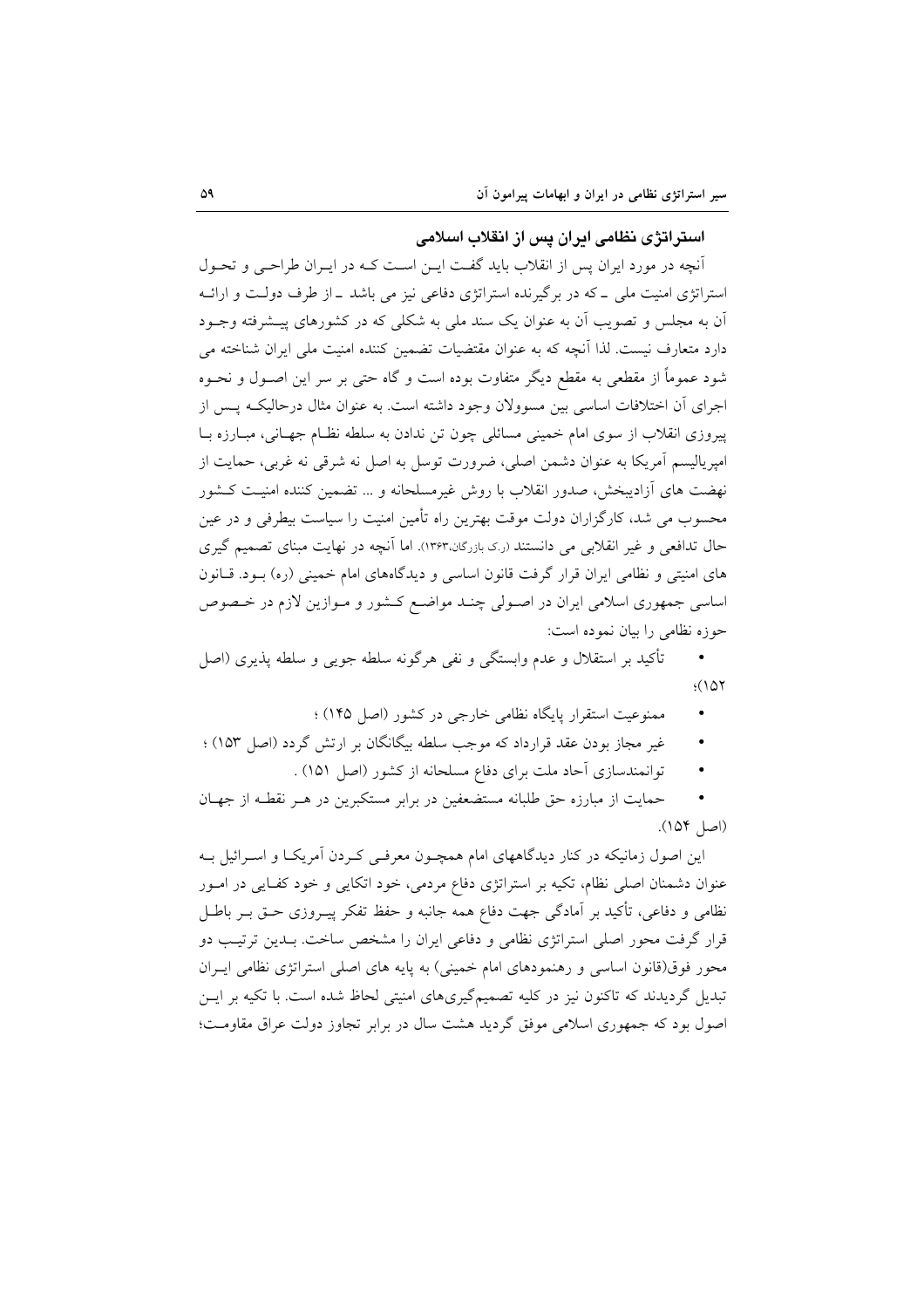استراتژی نظامی ادران پس از انقلاب اسلامی

أنچه در مورد ایران پس از انقلاب باید گفت ایــن اسـت کــه در ایــران طراحــی و تحــول استراتژی امنیت ملی ـ که در برگیرنده استراتژی دفاعی نیز می باشد ـ از طرف دولت و ارائـه آن به مجلس و تصویب آن به عنوان یک سند ملی به شکلی که در کشورهای پیـشرفته وجــود دارد متعارف نیست. لذا اَنچه که به عنوان مقتضیات تضمین کننده امنیت ملی ایران شناخته می شود عموماً از مقطعی به مقطع دیگر متفاوت بوده است و گاه حتبی بر سر این اصـول و نحـوه اجرای آن اختلافات اساسی بین مسوولان وجود داشته است. به عنوان مثال درحالیکه پس از ييروزي انقلاب از سوي امام خميني مسائلي چون تن ندادن به سلطه نظـام جهـاني، مبـارزه بـا امپریالیسم آمریکا به عنوان دشمن اصلی، ضرورت توسل به اصل نه شرقی نه غربی، حمایت از نهضت های آزادیبخش، صدور انقلاب با روش غیرمسلحانه و … تضمین کننده امنیت کـشور محسوب می شد، کارگزاران دولت موقت بهترین راه تأمین امنیت را سیاست بیطرفی و در عین حال تدافعی و غیر انقلابی می دانستند (رک بازرگان،۱۳۶۳). اما آنچه در نهایت مبنای تصمیم گیری های امنیتی و نظامی ایران قرار گرفت قانون اساسی و دیدگاههای امام خمینی (ره) بـود. قـانون اساسی جمهوری اسلامی ایران در اصـولی چنـد مواضـع کـشور و مـوازین لازم در خـصوص حوزه نظامی را بیان نموده است:

تأكيد بر استقلال و عدم وابستگي و نفي هرگونه سلطه جويي و سلطه يذيري (اصل  $(107$ 

- ممنوعیت استقرار پایگاه نظامی خارجی در کشور (اصل ۱۴۵) ؛
- غیر مجاز بودن عقد قرارداد که موجب سلطه بیگانگان بر ارتش گردد (اصل ۱۵۳) ؛
	- توانمندسازي آحاد ملت براي دفاع مسلحانه از كشور (اصل ١٥١) .

حمایت از مبارزه حق طلبانه مستضعفین در برابر مستکبرین در هـر نقطـه از جهـان (اصل ١۵۴).

این اصول زمانیکه در کنار دیدگاههای امام همچـون معرفـی کـردن اَمریکـا و اسـرائیل بـه عنوان دشمنان اصلی نظام، تکیه بر استراتژی دفاع مردمی، خود اتکایی و خود کفایی در امـور نظامی و دفاعی، تأکید بر آمادگی جهت دفاع همه جانبه و حفظ تفکر پیـروزی حـق بـر باطـل قرار گرفت محور اصلی استراتژی نظامی و دفاعی ایران را مشخص ساخت. بـدین ترتیـب دو محور فوق(قانون اساسی و رهنمودهای امام خمینی) به پایه های اصلی استراتژی نظامی ایـران تبدیل گردیدند که تاکنون نیز در کلیه تصمیمگیریهای امنیتی لحاظ شده است. با تکیه بر ایــن اصول بود که جمهوری اسلامی موفق گردید هشت سال در برابر تجاوز دولت عراق مقاومت؛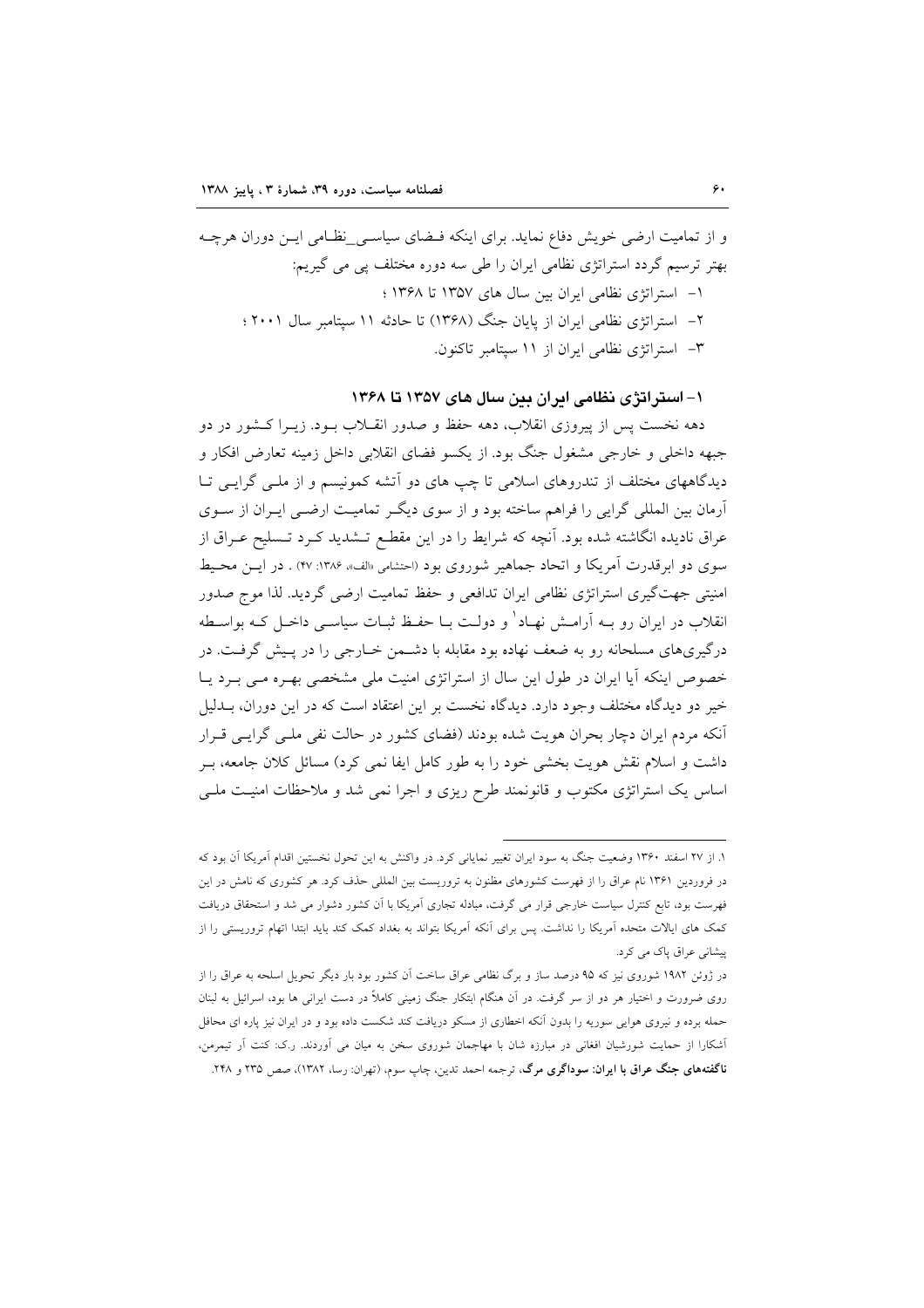۱– استراتژی نظامی ایران بین سال های ۱۳۵۷ تا ۱۳۶۸

دهه نخست پس از پیروزی انقلاب، دهه حفظ و صدور انقــلاب بــود. زیــرا کــشور در دو جبهه داخلی و خارجی مشغول جنگ بود. از یکسو فضای انقلابی داخل زمینه تعارض افکار و دیدگاههای مختلف از تندروهای اسلامی تا چپ های دو آتشه کمونیسم و از ملـی گرایـی تـا آرمان بین المللی گرایی را فراهم ساخته بود و از سوی دیگر تمامیـت ارضـی ایـران از سـوی عراق نادیده انگاشته شده بود. آنچه که شرایط را در این مقطـع تـشدید کـرد تـسلیح عـراق از سوی دو ابرقدرت آمریکا و اتحاد جماهیر شوروی بود (احتشامی «الف»، ۱۳۸۶: ۴۷) . در ایـن محـیط امنیتی جهتگیری استراتژی نظامی ایران تدافعی و حفظ تمامیت ارضی گردید. لذا موج صدور انقلاب در ایران رو بــه آرامــش نهــاد' و دولــت بــا حفـظ ثبــات سیاســی داخــل کــه بواســطه درگیریهای مسلحانه رو به ضعف نهاده بود مقابله با دشـمن خـارجی را در پـیش گرفـت. در خصوص اینکه آیا ایران در طول این سال از استراتژی امنیت ملی مشخصی بهـره مـی بـرد یـا خیر دو دیدگاه مختلف وجود دارد. دیدگاه نخست بر این اعتقاد است که در این دوران، بــدلیل أنكه مردم ايران دچار بحران هويت شده بودند (فضاي كشور در حالت نفي ملـي گرايـي قـرار داشت و اسلام نقش هویت بخشی خود را به طور کامل ایفا نمی کرد) مسائل کلان جامعه، بـر اساس یک استراتژی مکتوب و قانونمند طرح ریزی و اجرا نمی شد و ملاحظات امنیت ملبی

١. از ٢٧ اسفند ١٣۶٠ وضعيت جنگ به سود ايران تغيير نماياني كرد. در واكنش به اين تحول نخستين اقدام آمريكا آن بود كه در فروردین ۱۳۶۱ نام عراق را از فهرست کشورهای مظنون به تروریست بین المللی حذف کرد. هر کشوری که نامش در این فهرست بود، تابع کنترل سیاست خارجی قرار می گرفت، مبادله تجاری آمریکا با آن کشور دشوار می شد و استحقاق دریافت کمک های ایالات متحده اَمریکا را نداشت. پس برای اَنکه اَمریکا بتواند به بغداد کمک کند باید ابتدا اتهام تروریستی را از پیشانی عراق یاک می کرد.

در ژوئن ۱۹۸۲ شوروی نیز که ۹۵ درصد ساز و برگ نظامی عراق ساخت آن کشور بود بار دیگر تحویل اسلحه به عراق را از روی ضرورت و اختیار هر دو از سر گرفت. در آن هنگام ابتکار جنگ زمینی کاملاً در دست ایرانی ها بود، اسرائیل به لبنان حمله برده و نیروی هوایی سوریه را بدون آنکه اخطاری از مسکو دریافت کند شکست داده بود و در ایران نیز پاره ای محافل .<br>آشکارا از حمایت شورشیان افغانی در مبارزه شان با مهاجمان شوروی سخن به میان می اَوردند. ر.ک: کنت اَر تیمرمن، .<br>**ناگفتههای جنگ عراق با ایران: سوداگری مرگ**، ترجمه احمد تدین، چاپ سوم، (تهران: رسا، ۱۳۸۲)، صص ۲۳۵ و ۲۴۸.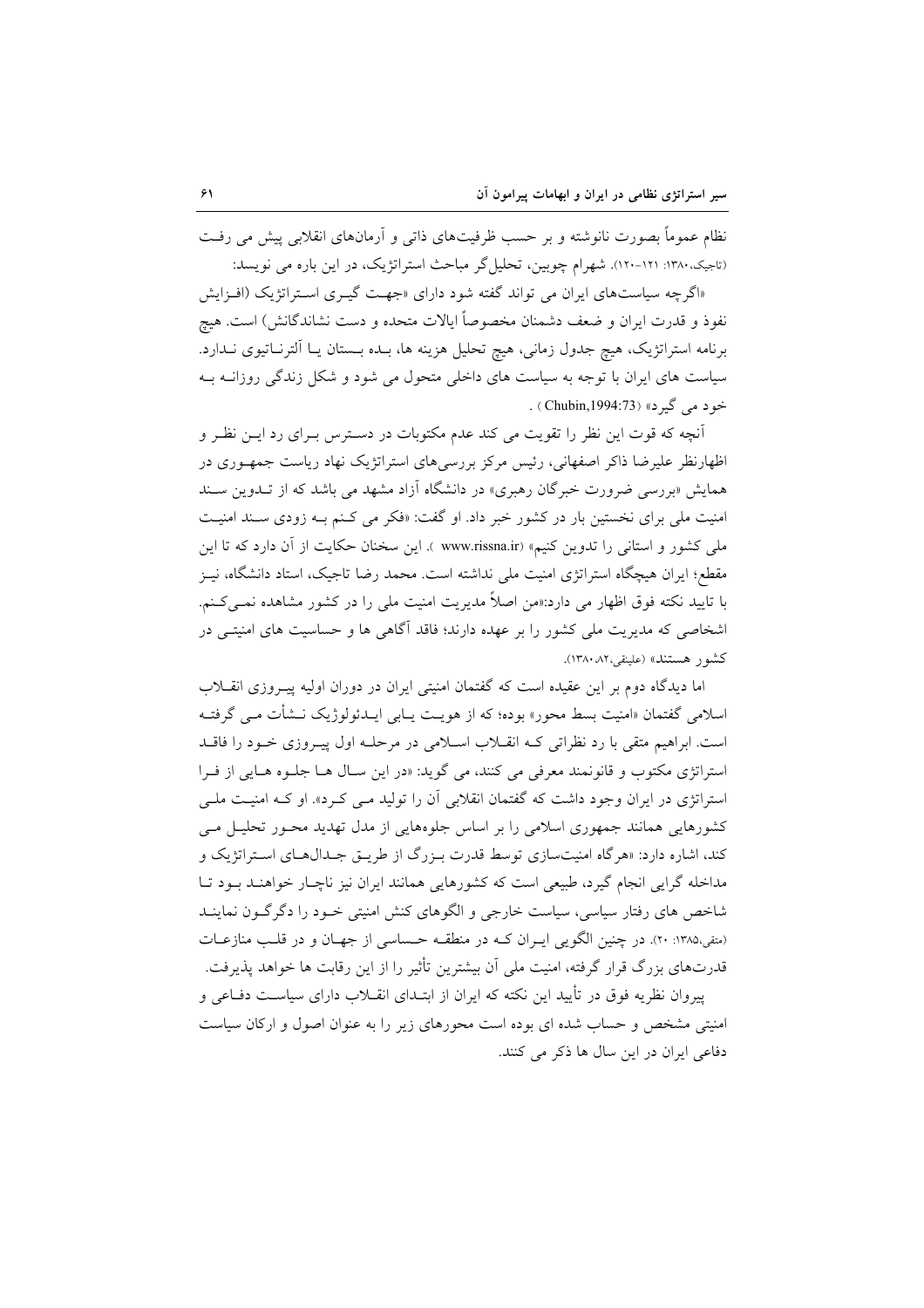نظام عموماً بصورت نانوشته و بر حسب ظرفیتهای ذاتی و آرمانهای انقلابی پیش می رفت (تاجیک، ۱۳۸۰: ۱۲۱-۱۲۰). شهرام چوبین، تحلیل گر مباحث استراتژیک، در این باره می نویسد:

«اگرچه سیاستهای ایران می تواند گفته شود دارای «جهت گیـری اسـتراتژیک (افـزایش نفوذ و قدرت ایران و ضعف دشمنان مخصوصاً ایالات متحده و دست نشاندگانش) است. هیچ برنامه استراتژیک، هیچ جدول زمانی، هیچ تحلیل هزینه ها، بـده بـستان یـا الترنـاتیوی نـدارد. سیاست های ایران با توجه به سیاست های داخلی متحول می شود و شکل زندگی روزانـه بـه خود مي گيرد» (Chubin,1994:73) .

آنچه که قوت این نظر را تقویت می کند عدم مکتوبات در دسترس بـرای رد ایـن نظـر و اظهارنظر علیرضا ذاکر اصفهانی، رئیس مرکز بررسیهای استراتژیک نهاد ریاست جمهـوری در همایش «بررسی ضرورت خبرگان رهبری» در دانشگاه آزاد مشهد می باشد که از تــدوین سـند امنیت ملی برای نخستین بار در کشور خبر داد. او گفت: «فکر می کـنـم بــه زودی ســند امنیــت ملی کشور و استانی را تدوین کنیم» (www.rissna.ir ). این سخنان حکایت از آن دارد که تا این مقطع؛ ایران هیچگاه استراتژی امنیت ملی نداشته است. محمد رضا تاجیک، استاد دانشگاه، نیـز با تایید نکته فوق اظهار می دارد:«من اصلاً مدیریت امنیت ملی را در کشور مشاهده نمــیکـنم. اشخاصی که مدیریت ملی کشور را بر عهده دارند؛ فاقد آگاهی ها و حساسیت های امنیتـی در كشور هستند» (علينقي،٨٢، ١٣٨٠).

اما دیدگاه دوم بر این عقیده است که گفتمان امنیتی ایران در دوران اولیه پیـروزی انقــلاب اسلامی گفتمان «امنیت بسط محور» بوده؛ که از هویـت یــابی ایــدئولوژیک نــشأت مــی گرفتــه است. ابراهیم متقی با رد نظراتی کـه انقـلاب اسـلامی در مرحلـه اول پیـروزی خـود را فاقــد استراتژی مکتوب و قانونمند معرفی می کنند، می گوید: «در این سال هـا جلـوه هـایی از فـرا استراتژی در ایران وجود داشت که گفتمان انقلابی آن را تولید مـی کـرد». او کـه امنیـت ملـی کشورهایی همانند جمهوری اسلامی را بر اساس جلوههایی از مدل تهدید محـور تحلیـل مـی کند، اشاره دارد: «هرگاه امنیتسازی توسط قدرت بـزرگ از طریـق جـدال۵هـای اسـتراتژیک و مداخله گرایی انجام گیرد، طبیعی است که کشورهایی همانند ایران نیز ناچـار خواهنـد بـود تـا شاخص های رفتار سیاسی، سیاست خارجی و الگوهای کنش امنیتی خـود را دگر گـون نماینــد (متقى،١٣٨٥: ٢٠). در چنين الگويي ايـران كـه در منطقـه حـساسي از جهـان و در قلـب منازعـات قدرتهای بزرگ قرار گرفته، امنیت ملی آن بیشترین تأثیر را از این رقابت ها خواهد پذیرفت.

پیروان نظریه فوق در تأیید این نکته که ایران از ابتـدای انقــلاب دارای سیاسـت دفــاعی و امنیتی مشخص و حساب شده ای بوده است محورهای زیر را به عنوان اصول و ارکان سیاست دفاعی ایران در این سال ها ذکر می کنند.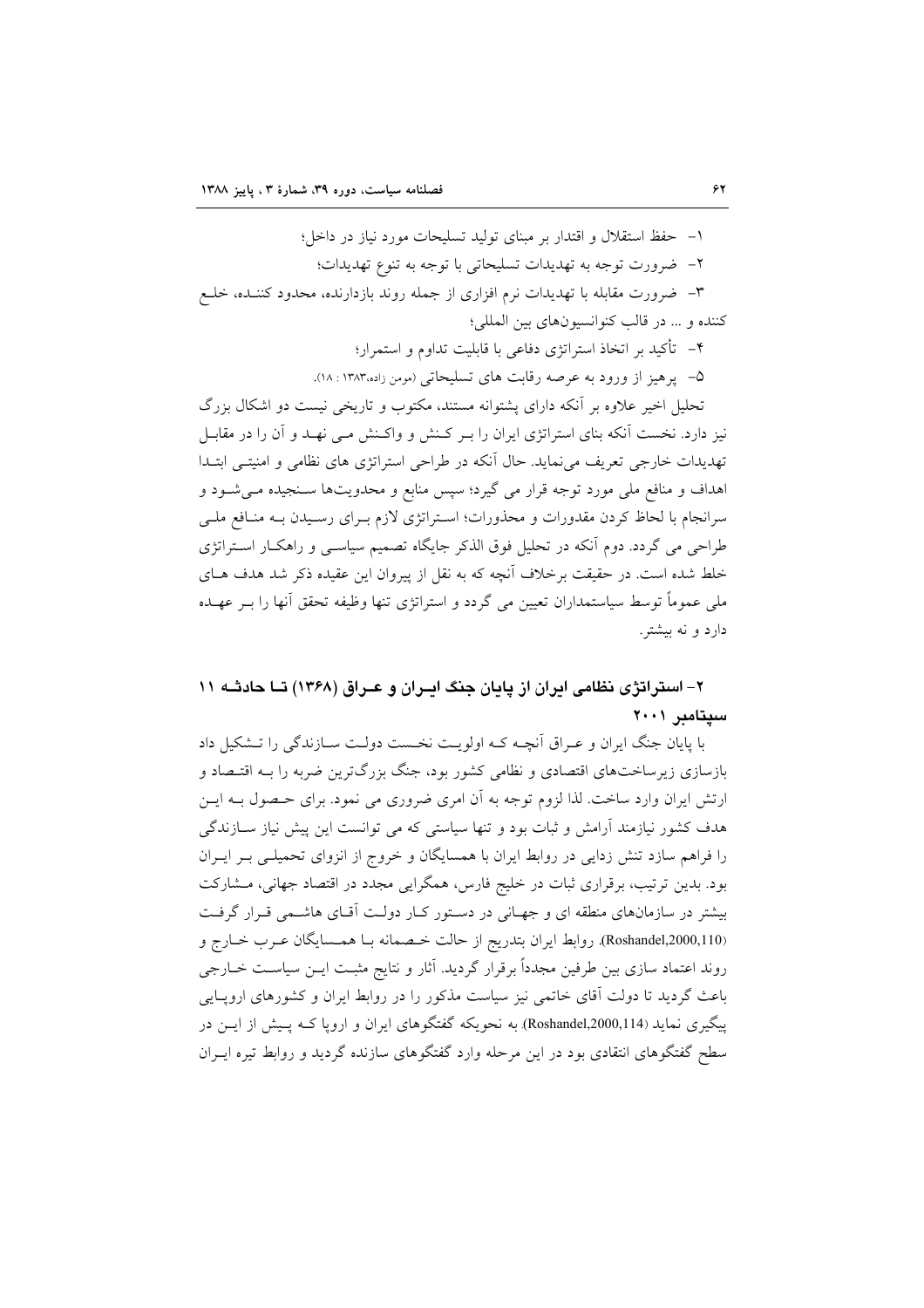۱– حفظ استقلال و اقتدار بر مبنای تولید تسلیحات مورد نیاز در داخل؛ ۲– ضرورت توجه به تهدیدات تسلیحاتی با توجه به تنوع تهدیدات؛

۳– ضرورت مقابله با تهدیدات نرم افزاری از جمله روند بازدارنده، محدود کننـده، خلـع كننده و ... در قالب كنوانسيونهاي بين المللي؛

۴– تأكيد بر اتخاذ استراتژي دفاعي با قابليت تداوم و استمرار؛

۵– یرهیز از ورود به عرصه رقابت های تسلیحاتی (مومن زاده،۱۳۸۳: ۱۸).

تحلیل اخیر علاوه بر آنکه دارای پشتوانه مستند، مکتوب و تاریخی نیست دو اشکال بزرگ نیز دارد. نخست آنکه بنای استراتژی ایران را بـر کـنش و واکـنش مـی نهـد و آن را در مقابـل تهدیدات خارجی تعریف می نماید. حال آنکه در طراحی استراتژی های نظامی و امنیتـی ابتـدا اهداف و منافع ملی مورد توجه قرار می گیرد؛ سپس منابع و محدویتها ســنجیده مــیشــود و سرانجام با لحاظ کردن مقدورات و محذورات؛ اسـتراتژی لازم بـرای رسـیدن بـه منـافع ملـی طراحی می گردد. دوم آنکه در تحلیل فوق الذکر جایگاه تصمیم سیاسـی و راهکـار اسـتراتژی خلط شده است. در حقیقت برخلاف آنچه که به نقل از پیروان این عقیده ذکر شد هدف هـای ملی عموماً توسط سیاستمداران تعیین می گردد و استراتژی تنها وظیفه تحقق أنها را بــر عهــده دارد و نه بیشتر.

۲- استراتژی نظامی ایران از پایان جنگ ایـران و عـراق (۱۳۶۸) تــا حادثــه ۱۱ سيتامبر ٢٠٠١

با پایان جنگ ایران و عـراق اَنچـه کـه اولویـت نخـست دولـت سـازندگی را تـشکیل داد بازسازی زیرساختهای اقتصادی و نظامی کشور بود، جنگ بزرگترین ضربه را بـه اقتـصاد و ارتش ایران وارد ساخت. لذا لزوم توجه به آن امری ضروری می نمود. برای حـصول بــه ایــن هدف کشور نیازمند آرامش و ثبات بود و تنها سیاستی که می توانست این پیش نیاز ســازندگی را فراهم سازد تنش زدایی در روابط ایران با همسایگان و خروج از انزوای تحمیلـی بـر ایــران بود. بدین ترتیب، برقراری ثبات در خلیج فارس، همگرایی مجدد در اقتصاد جهانی، مشارکت بیشتر در سازمانهای منطقه ای و جهـانی در دسـتور کـار دولـت آقـای هاشـمی قـرار گرفـت (Roshandel,2000,110). روابط ايران بتدريج از حالت خـصمانه بـا همـسايگان عـرب خـارج و روند اعتماد سازی بین طرفین مجدداً برقرار گردید. آثار و نتایج مثبـت ایــن سیاســت خــارجی باعث گردید تا دولت آقای خاتمی نیز سیاست مذکور را در روابط ایران و کشورهای اروپــایی پیگیری نماید (Roshandel,2000,114) به نحویکه گفتگوهای ایران و اروپا کــه پـیش از ایــن در سطح گفتگوهای انتقادی بود در این مرحله وارد گفتگوهای سازنده گردید و روابط تیره ایـران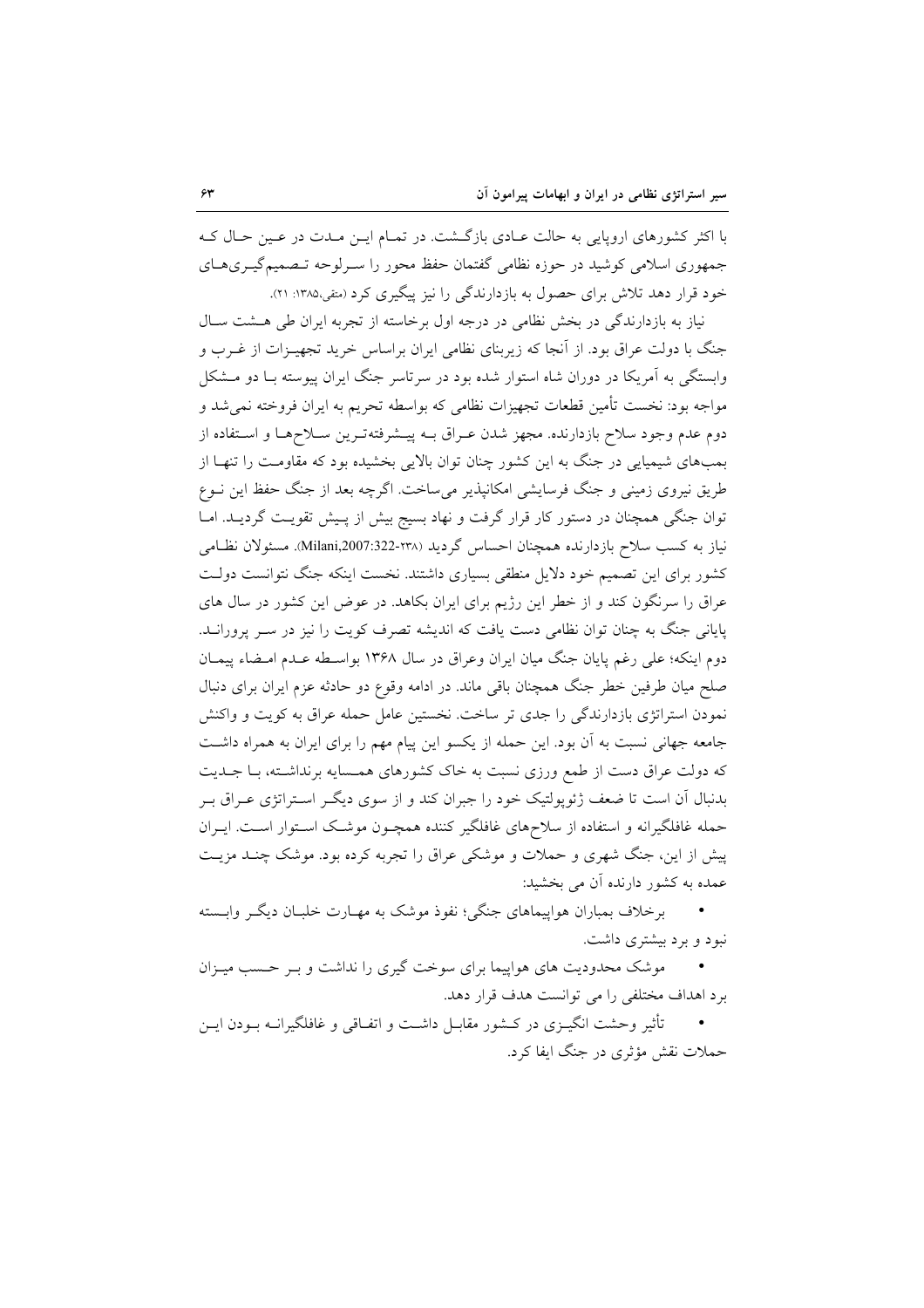با اکثر کشورهای اروپایی به حالت عـادی بازگـشت. در تمـام ایـن مـدت در عـین حـال کـه جمهوری اسلامی کوشید در حوزه نظامی گفتمان حفظ محور را سـرلوحه تـصمیمگیـریهـای خود قرار دهد تلاش برای حصول به بازدارندگی را نیز پیگیری کرد (متفی،۱۳۸۵: ۲۱).

نیاز به بازدارندگی در بخش نظامی در درجه اول برخاسته از تجربه ایران طی هـشت سـال جنگ با دولت عراق بود. از آنجا که زیربنای نظامی ایران براساس خرید تجهیـزات از غــرب و وابستگی به آمریکا در دوران شاه استوار شده بود در سرتاسر جنگ ایران پیوسته بـا دو مــشکل مواجه بود: نخست تأمین قطعات تجهیزات نظامی که بواسطه تحریم به ایران فروخته نمیشد و دوم عدم وجود سلاح بازدارنده. مجهز شدن عـراق بــه پيــشرفتهتـرين ســلاحهـا و اسـتفاده از بمبهای شیمیایی در جنگ به این کشور چنان توان بالایی بخشیده بود که مقاومـت را تنهـا از طریق نیروی زمینی و جنگ فرسایشی امکانپذیر می ساخت. اگرچه بعد از جنگ حفظ این نــوع توان جنگی همچنان در دستور کار قرار گرفت و نهاد بسیج بیش از پـیش تقویـت گردیــد. امــا نیاز به کسب سلاح بازدارنده همچنان احساس گردید (۲۳۸-Nilani,2007:322). مسئولان نظـامی کشور برای این تصمیم خود دلایل منطقی بسیاری داشتند. نخست اینکه جنگ نتوانست دولت عراق را سرنگون کند و از خطر این رژیم برای ایران بکاهد. در عوض این کشور در سال های پایانی جنگ به چنان توان نظامی دست یافت که اندیشه تصرف کویت را نیز در سـر پرورانــد. دوم اينكه؛ على رغم پايان جنگ ميان ايران وعراق در سال ١٣۶٨ بواسـطه عـدم امـضاء پيمـان صلح میان طرفین خطر جنگ همچنان باقی ماند. در ادامه وقوع دو حادثه عزم ایران برای دنبال نمودن استراتژی بازدارندگی را جدی تر ساخت. نخستین عامل حمله عراق به کویت و واکنش جامعه جهانی نسبت به آن بود. این حمله از یکسو این پیام مهم را برای ایران به همراه داشت که دولت عراق دست از طمع ورزی نسبت به خاک کشورهای همـسایه برنداشـته، بـا جــدیت بدنبال آن است تا ضعف ژئوپولتیک خود را جبران کند و از سوی دیگـر اسـتراتژی عـراق بـر حمله غافلگیرانه و استفاده از سلاحهای غافلگیر کننده همچـون موشـک اسـتوار اسـت. ایـران پیش از این، جنگ شهری و حملات و موشکی عراق را تجربه کرده بود. موشک چنـد مزیـت عمده به کشور دارنده آن می بخشید:

برخلاف بمباران هواپیماهای جنگی؛ نفوذ موشک به مهـارت خلبـان دیگـر وابـسته نبود و برد بیشتری داشت.

موشک محدودیت های هواپیما برای سوخت گیری را نداشت و بـر حـسب میـزان برد اهداف مختلفی را می توانست هدف قرار دهد.

تأثیر وحشت انگیـزی در کــشور مقابـل داشــت و اتفـاقی و غافلگیرانــه بــودن ایــن حملات نقش مؤثري در جنگ ايفا کرد.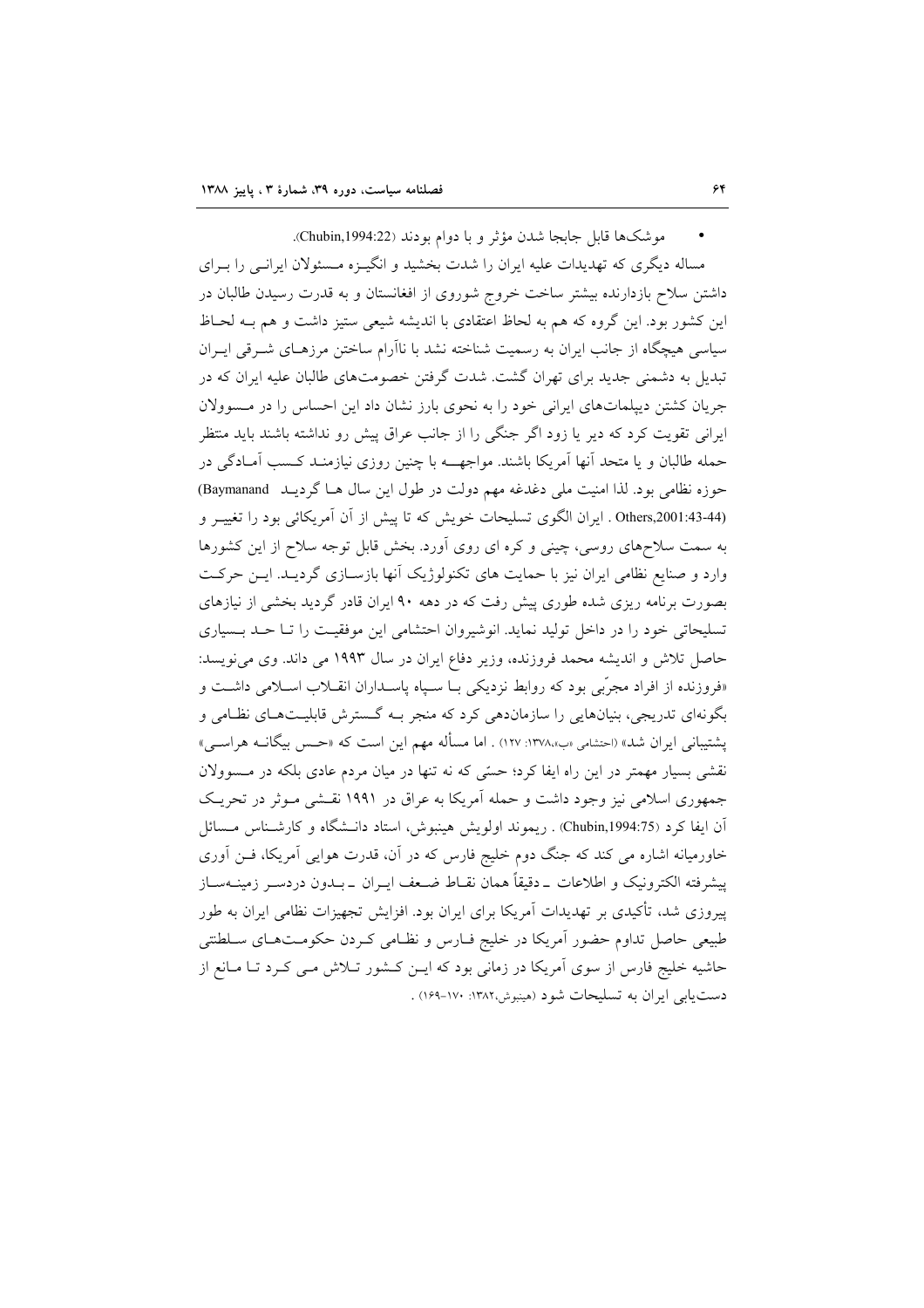موشك ها قابل جابجا شدن مؤثر و با دوام بودند (Chubin,1994:22).

مساله دیگری که تهدیدات علیه ایران را شدت بخشید و انگیـزه مـسئولان ایرانـی را بـرای داشتن سلاح بازدارنده بیشتر ساخت خروج شوروی از افغانستان و به قدرت رسیدن طالبان در این کشور بود. این گروه که هم به لحاظ اعتقادی با اندیشه شیعی ستیز داشت و هم بــه لحــاظ سیاسی هیچگاه از جانب ایران به رسمیت شناخته نشد با ناآرام ساختن مرزهـای شـرقی ایـران تبدیل به دشمنی جدید برای تهران گشت. شدت گرفتن خصومتهای طالبان علیه ایران که در جریان کشتن دیپلماتهای ایرانی خود را به نحوی بارز نشان داد این احساس را در مسوولان ایرانی تقویت کرد که دیر یا زود اگر جنگی را از جانب عراق پیش رو نداشته باشند باید منتظر حمله طالبان و یا متحد آنها آمریکا باشند. مواجهــــه با چنین روزی نیازمنــد کــسب آمــادگی در حوزه نظامی بود. لذا امنیت ملی دغدغه مهم دولت در طول این سال هـا گردیــد Baymanand) Others,2001:43-44) . ايران الكوى تسليحات خويش كه تا ييش از آن آمريكائي بود را تغييـر و به سمت سلاحهای روسی، چینی و کره ای روی اَورد. بخش قابل توجه سلاح از این کشورها وارد و صنایع نظامی ایران نیز با حمایت های تکنولوژیک آنها بازسـازی گردیـد. ایـن حرکـت بصورت برنامه ریزی شده طوری پیش رفت که در دهه ۹۰ ایران قادر گردید بخشی از نیازهای تسلیحاتی خود را در داخل تولید نماید. انوشیروان احتشامی این موفقیت را تـا حـد بـسیاری حاصل تلاش و اندیشه محمد فروزنده، وزیر دفاع ایران در سال ۱۹۹۳ می داند. وی می نویسد: «فروزنده از افراد مجرّبی بود که روابط نزدیکی بـا سـپاه پاسـداران انقـلاب اسـلامی داشـت و بگونهای تدریجی، بنیانهایی را سازماندهی کرد که منجر بـه گـسترش قابلیـتهـای نظـامی و یشتیبانی ایران شد» (احتشامی «ب»،۱۳۷۸ :۱۲۷) . اما مسأله مهم این است که «حـس بیگانــه هراســی» نقشی بسیار مهمتر در این راه ایفا کرد؛ حسّی که نه تنها در میان مردم عادی بلکه در مسوولان جمهوری اسلامی نیز وجود داشت و حمله آمریکا به عراق در ۱۹۹۱ نقشی مـوثر در تحریـک آن ايفا كرد (Chubin,1994:75) . ريموند اولويش هينبوش، استاد دانـشگاه و كارشـناس مـسائل خاورمیانه اشاره می کند که جنگ دوم خلیج فارس که در آن، قدرت هوایی آمریکا، فــن آوری ييشرفته الكترونيك و اطلاعات \_دقيقاً همان نقـاط ضـعف ايــران \_بــدون دردســر زمينــهســاز پیروزی شد، تأکیدی بر تهدیدات آمریکا برای ایران بود. افزایش تجهیزات نظامی ایران به طور طبیعی حاصل تداوم حضور آمریکا در خلیج فـارس و نظـامی کـردن حکومـتهـای سـلطنتی حاشیه خلیج فارس از سوی آمریکا در زمانی بود که ایـن کـشور تـلاش مـی کـرد تـا مـانع از دست یابی ایران به تسلیحات شود (هینبوش،۱۳۸۲: ۱۶۰–۱۶۹) .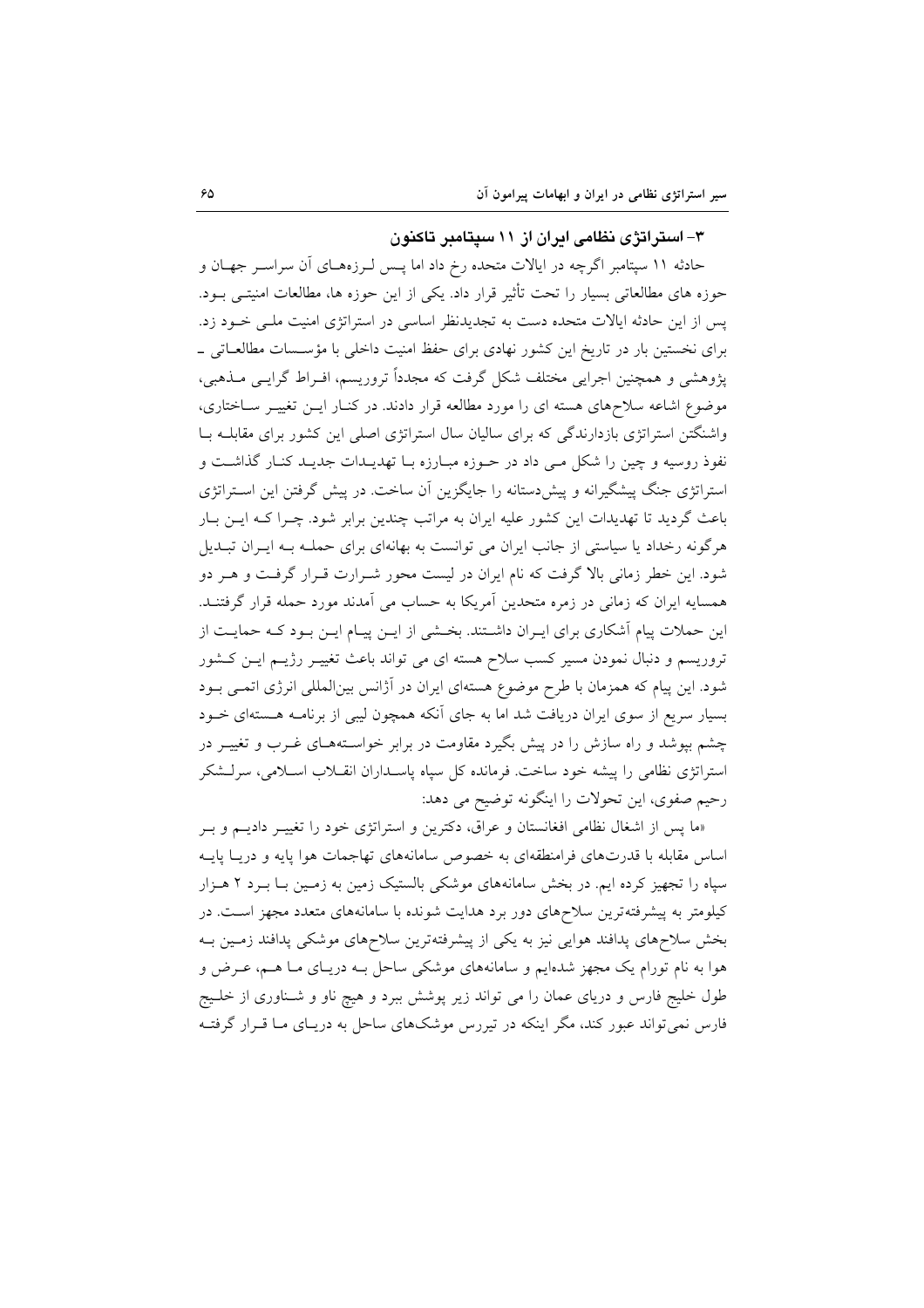## ۳- استراتژی نظامی ایران از ۱۱ سیتامبر تاکنون

حادثه ۱۱ سپتامبر اگرچه در ایالات متحده رخ داد اما پـس لــرزههــای آن سراســر جهــان و حوزه های مطالعاتی بسیار را تحت تأثیر قرار داد. یکی از این حوزه ها، مطالعات امنیتـی بــود. پس از این حادثه ایالات متحده دست به تجدیدنظر اساسی در استراتژی امنیت ملـی خـود زد. برای نخستین بار در تاریخ این کشور نهادی برای حفظ امنیت داخلی با مؤسـسات مطالعـاتی \_ یژوهشی و همچنین اجرایی مختلف شکل گرفت که مجدداً تروریسم، افـراط گرایــی مــذهبی، موضوع اشاعه سلاحهای هسته ای را مورد مطالعه قرار دادند. در کنـار ایـن تغییـر سـاختاری، واشنگتن استراتژی بازدارندگی که برای سالیان سال استراتژی اصلی این کشور برای مقابلـه بـا نفوذ روسیه و چین را شکل مـی داد در حـوزه مبـارزه بـا تهدیــدات جدیـد کنـار گذاشـت و استراتژی جنگ پیشگیرانه و پیش دستانه را جایگزین آن ساخت. در پیش گرفتن این استراتژی باعث گردید تا تهدیدات این کشور علیه ایران به مراتب چندین برابر شود. چـرا کـه ایــن بــار هرگونه رخداد یا سیاستی از جانب ایران می توانست به بهانهای برای حملـه بـه ایـران تبـدیل شود. این خطر زمانی بالا گرفت که نام ایران در لیست محور شـرارت قـرار گرفـت و هـر دو همسایه ایران که زمانی در زمره متحدین آمریکا به حساب می آمدند مورد حمله قرار گرفتنـد. این حملات پیام آشکاری برای ایـران داشـتند. بخـشی از ایــن پیــام ایــن بــود کــه حمایــت از تروریسم و دنبال نمودن مسیر کسب سلاح هسته ای می تواند باعث تغییـر رژیـم ایـن کـشور شود. این پیام که همزمان با طرح موضوع هستهای ایران در آژانس بینالمللی انرژی اتمـی بـود بسیار سریع از سوی ایران دریافت شد اما به جای آنکه همچون لیبی از برنامـه هـستهای خــود چشم بپوشد و راه سازش را در پیش بگیرد مقاومت در برابر خواسـتههـای غــرب و تغییــر در استراتژی نظامی را پیشه خود ساخت. فرمانده کل سپاه پاسـداران انقـلاب اسـلامی، سرلـشکر رحيم صفوي، اين تحولات را اينگونه توضيح مي دهد:

«ما پس از اشغال نظامی افغانستان و عراق، دکترین و استراتژی خود را تغییـر دادیـم و بـر اساس مقابله با قدرتهای فرامنطقهای به خصوص سامانههای تهاجمات هوا پایه و دریـا پایـه سیاه را تجهیز کرده ایم. در بخش سامانههای موشکی بالستیک زمین به زمـین بــا بــرد ۲ هــزار کیلومتر به پیشرفتهترین سلاحهای دور برد هدایت شونده با سامانههای متعدد مجهز است. در بخش سلاحهای پدافند هوایی نیز به یکی از پیشرفتهترین سلاحهای موشکی پدافند زمـین بـه هوا به نام تورام یک مجهز شدهایم و سامانههای موشکی ساحل بـه دریـای مـا هــم، عــرض و طول خلیج فارس و دریای عمان را می تواند زیر پوشش ببرد و هیچ ناو و شـناوری از خلـیج فارس نمی تواند عبور کند، مگر اینکه در تیررس موشکهای ساحل به دریـای مـا قـرار گرفتـه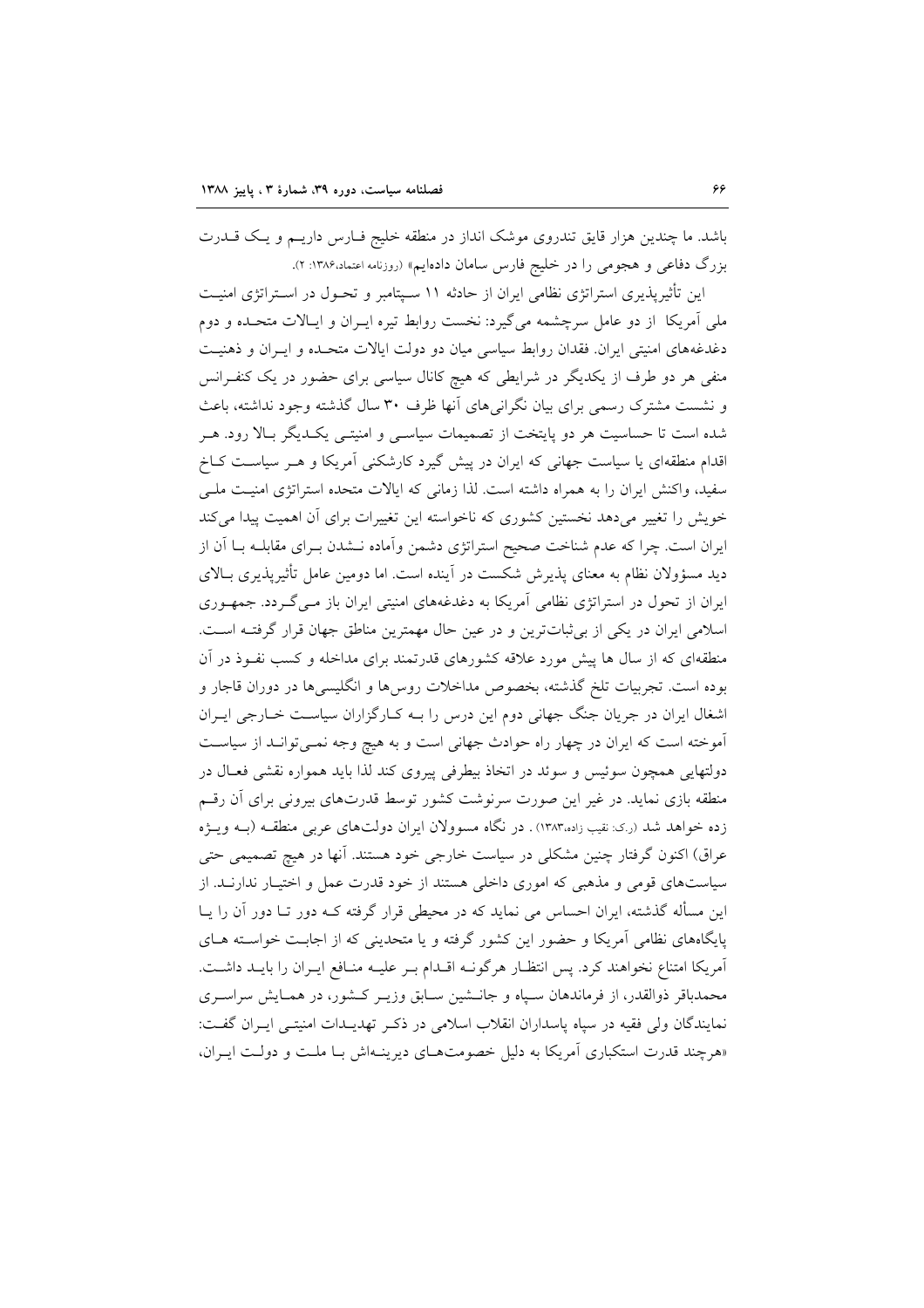باشد. ما چندین هزار قایق تندروی موشک انداز در منطقه خلیج فـارس داریـم و یـک قــدرت بزرگ دفاعی و هجومی را در خلیج فارس سامان دادهایم» (روزنامه اعتماد۱۳۸۶: ۲).

این تأثیرپذیری استراتژی نظامی ایران از حادثه ۱۱ سـپتامبر و تحـول در اسـتراتژی امنیـت ملی آمریکا از دو عامل سرچشمه میگیرد: نخست روابط تیره ایـران و ایـالات متحـده و دوم دغدغههای امنیتی ایران. فقدان روابط سیاسی میان دو دولت ایالات متحـده و ایــران و ذهنیـت منفی هر دو طرف از یکدیگر در شرایطی که هیچ کانال سیاسی برای حضور در یک کنفـرانس و نشست مشترک رسمی برای بیان نگرانیهای آنها ظرف ۳۰ سال گذشته وجود نداشته، باعث شده است تا حساسیت هر دو پایتخت از تصمیمات سیاسـی و امنیتـی یکـدیگر بـالا رود. هـر اقدام منطقهای یا سیاست جهانی که ایران در پیش گیرد کارشکنی آمریکا و هـر سیاسـت کـاخ سفید، واکنش ایران را به همراه داشته است. لذا زمانی که ایالات متحده استراتژی امنیت ملبی خویش را تغییر میدهد نخستین کشوری که ناخواسته این تغییرات برای آن اهمیت پیدا میکند ایران است. چرا که عدم شناخت صحیح استراتژی دشمن وآماده نــشدن بــرای مقابلــه بــا آن از دید مسؤولان نظام به معنای پذیرش شکست در آینده است. اما دومین عامل تأثیرپذیری بـالای ایران از تحول در استراتژی نظامی آمریکا به دغدغههای امنیتی ایران باز مـیگـردد. جمهـوری اسلامی ایران در یکی از بی ثباتترین و در عین حال مهمترین مناطق جهان قرار گرفتـه اسـت. منطقهای که از سال ها پیش مورد علاقه کشورهای قدرتمند برای مداخله و کسب نفـوذ در آن بوده است. تجربیات تلخ گذشته، بخصوص مداخلات روس۵ا و انگلیسی۱ه در دوران قاجار و اشغال ایران در جریان جنگ جهانی دوم این درس را بـه کـارگزاران سیاسـت خـارجی ایـران آموخته است که ایران در چهار راه حوادث جهانی است و به هیچ وجه نمـیتوانـد از سیاسـت دولتهایی همچون سوئیس و سوئد در اتخاذ بیطرفی پیروی کند لذا باید همواره نقشی فعـال در منطقه بازی نماید. در غیر این صورت سرنوشت کشور توسط قدرتهای بیرونی برای آن رقسم زده خواهد شد (ر.ی: نقیب زاده،۱۳۸۳) . در نگاه مسوولان ایران دولتهای عربی منطقـه (بـه ویـژه عراق) اکنون گرفتار چنین مشکلی در سیاست خارجی خود هستند. آنها در هیچ تصمیمی حتی سیاستهای قومی و مذهبی که اموری داخلی هستند از خود قدرت عمل و اختیـار ندارنــد. از این مسأله گذشته، ایران احساس می نماید که در محیطی قرار گرفته کـه دور تــا دور آن را پــا پایگاههای نظامی آمریکا و حضور این کشور گرفته و یا متحدینی که از اجابـت خواسـته هـای آمریکا امتناع نخواهند کرد. پس انتظـار هرگونــه اقــدام بــر عليــه منــافع ايــران را بايــد داشــت. محمدباقر ذوالقدر، از فرماندهان سـياه و جانــشين سـابق وزيــر كــشور، در همــايش سراســرى نمايندگان ولي فقيه در سياه پاسداران انقلاب اسلامي در ذكر تهديـدات امنيتـي ايـران گفـت: «هرچند قدرت استکباری آمریکا به دلیل خصومتهای دیرینهاش بـا ملت و دولت ایـران،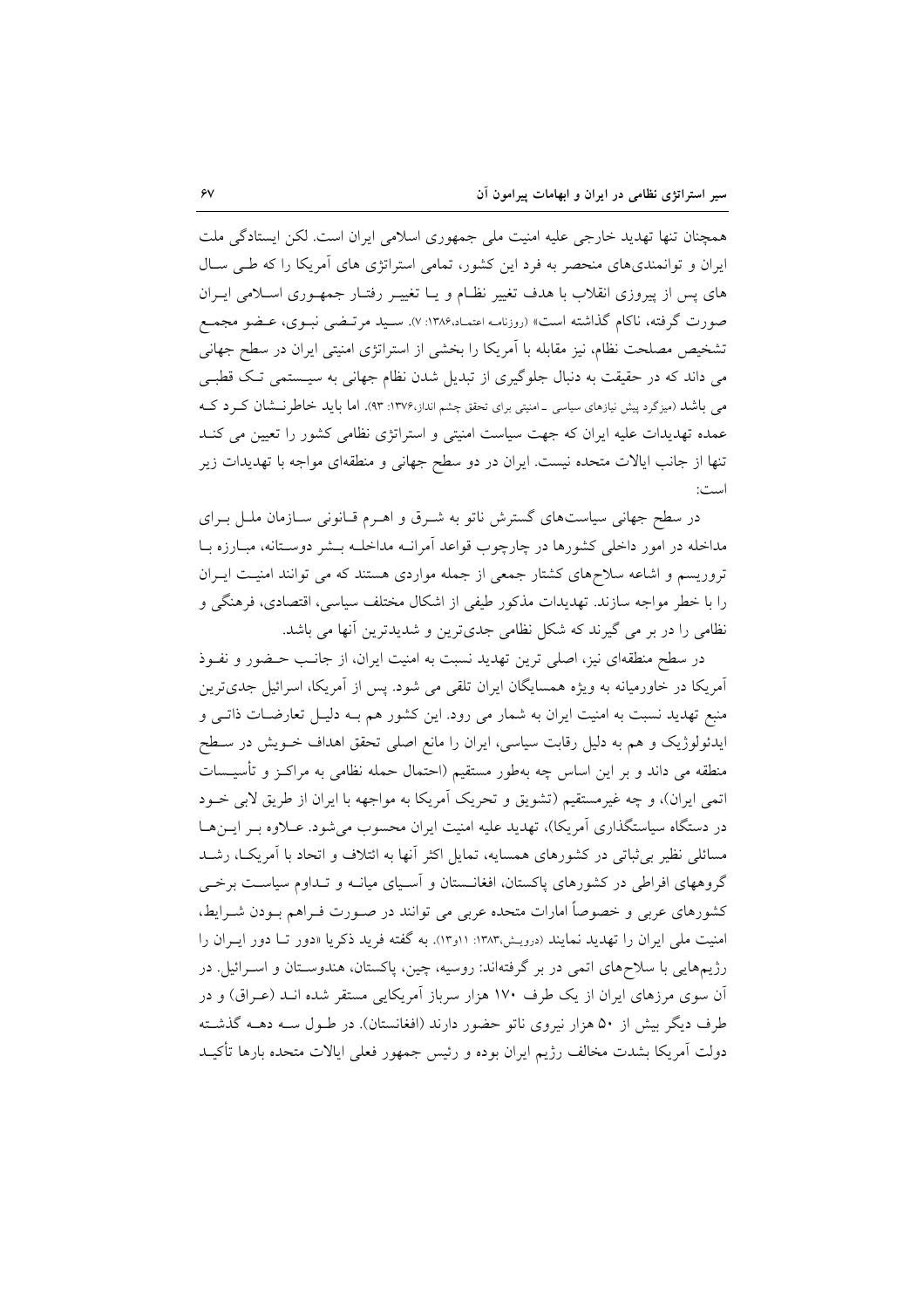همچنان تنها تهدید خارجی علیه امنیت ملی جمهوری اسلامی ایران است. لکن ایستادگی ملت ایران و توانمندیهای منحصر به فرد این کشور، تمامی استراتژی های آمریکا را که طبی سـال های پس از پیروزی انقلاب با هدف تغییر نظـام و یـا تغییـر رفتـار جمهـوری اسـلامی ایــران صورت گرفته، ناکام گذاشته است» (روزنامـه اعتمـاد،۱۳۸۶: ۷). سـید مرتـضی نبـوی، عـضو مجمـع تشخیص مصلحت نظام، نیز مقابله با آمریکا را بخشی از استراتژی امنیتی ایران در سطح جهانی می داند که در حقیقت به دنبال جلوگیری از تبدیل شدن نظام جهانی به سیـستمی تـک قطبـی می باشد (میزگرد پیش نیازهای سیاسی ـ امنیتی برای تحقق چشم انداز،۱۳۷۶: ۹۳). اما باید خاطرنسشان کــرد کــه عمده تهدیدات علیه ایران که جهت سیاست امنیتی و استراتژی نظامی کشور را تعیین می کنـد تنها از جانب ایالات متحده نیست. ایران در دو سطح جهانی و منطقهای مواجه با تهدیدات زیر است:

در سطح جهانی سیاستهای گسترش ناتو به شـرق و اهـرم قـانونی سـازمان ملـل بـرای مداخله در امور داخلی کشورها در چارچوب قواعد اَمرانـه مداخلـه بـشر دوسـتانه، مبـارزه بـا تروریسم و اشاعه سلاحهای کشتار جمعی از جمله مواردی هستند که می توانند امنیت ایـران را با خطر مواجه سازند. تهدیدات مذکور طیفی از اشکال مختلف سیاسی، اقتصادی، فرهنگی و نظامی را در بر می گیرند که شکل نظامی جدیترین و شدیدترین آنها می باشد.

در سطح منطقهای نیز، اصلی ترین تهدید نسبت به امنیت ایران، از جانب حـضور و نفـوذ آمریکا در خاورمیانه به ویژه همسایگان ایران تلقی می شود. پس از آمریکا، اسرائیل جدیترین منبع تهدید نسبت به امنیت ایران به شمار می رود. این کشور هم بــه دلیـل تعارضــات ذاتــی و ایدئولوژیک و هم به دلیل رقابت سیاسی، ایران را مانع اصلی تحقق اهداف خــویش در ســطح منطقه می داند و بر این اساس چه بهطور مستقیم (احتمال حمله نظامی به مراکـز و تأسیــسات اتمي ايران)، و چه غيرمستقيم (تشويق و تحريک آمريکا به مواجهه با ايران از طريق لابي خــود در دستگاه سیاستگذاری آمریکا)، تهدید علیه امنیت ایران محسوب می شود. عـلاوه بـر ایــنهـا مسائلی نظیر بی ثباتی در کشورهای همسایه، تمایل اکثر آنها به ائتلاف و اتحاد با آمریک)، رشـد گروههای افراطی در کشورهای پاکستان، افغانــستان و آسـیای میانــه و تــداوم سیاســت برخــی کشورهای عربی و خصوصاً امارات متحده عربی می توانند در صـورت فـراهم بـودن شـرایط، امنیت ملی ایران را تهدید نمایند (درویش،۱۳۸۳: ۱۱و۱۳). به گفته فرید ذکریا «دور تــا دور ایــران را رژیمهایی با سلاحهای اتمی در بر گرفتهاند: روسیه، چین، پاکستان، هندوسـتان و اسـرائیل در آن سوی مرزهای ایران از یک طرف ۱۷۰ هزار سرباز آمریکایی مستقر شده انــد (عــراق) و در طرف دیگر بیش از ۵۰ هزار نیروی ناتو حضور دارند (افغانستان). در طـول سـه دهــه گذشــته دولت آمريكا بشدت مخالف رژيم ايران بوده و رئيس جمهور فعلى ايالات متحده بارها تأكيـد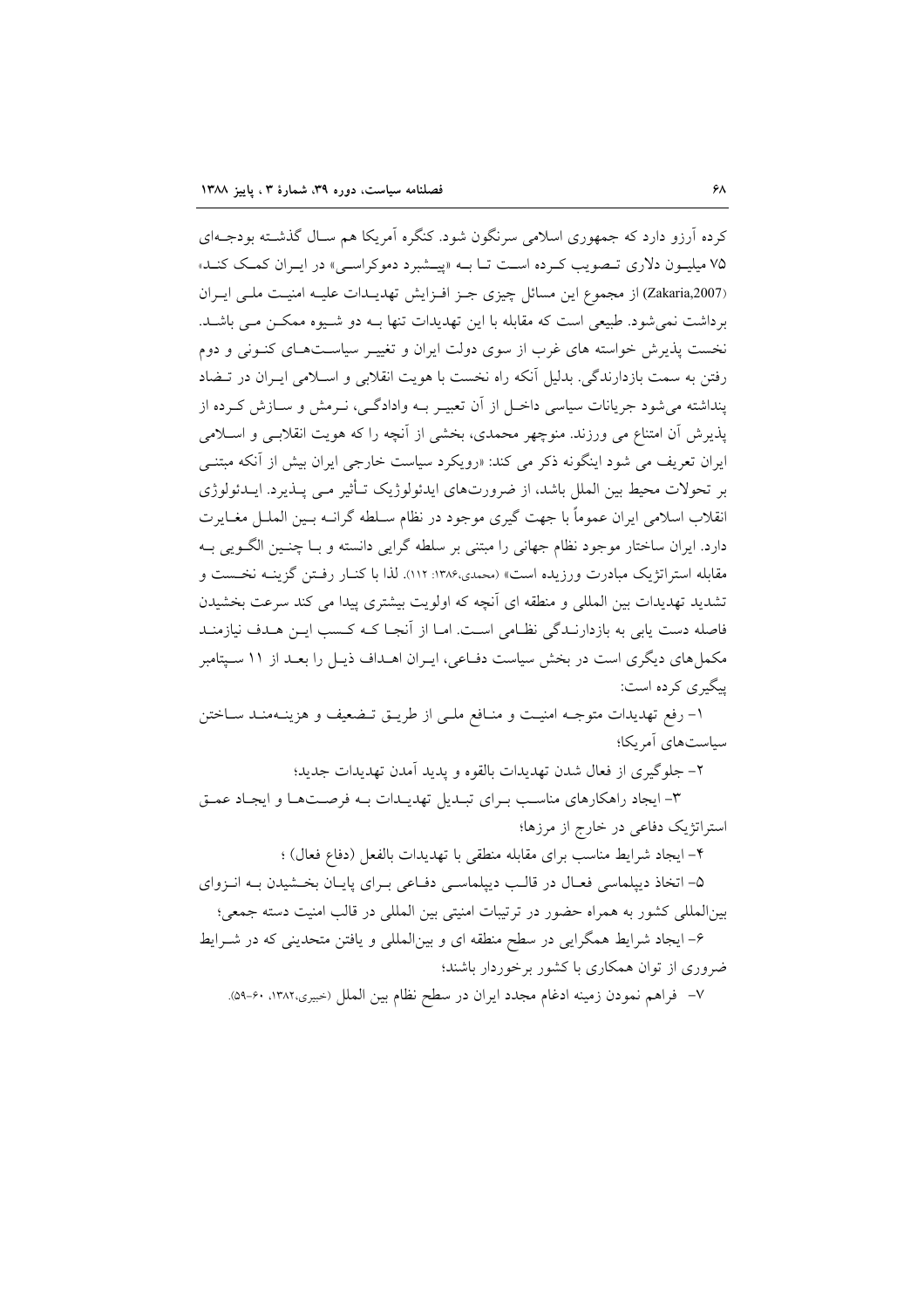کرده آرزو دارد که جمهوری اسلامی سرنگون شود. کنگره آمریکا هم سـال گذشـته بودجـهای ۷۵ میلیون دلاری تبصویت که ده است تبا بـه «پیـشبرد دموکراسـی» در ایـران کمـک کنـد» (Zakaria,2007) از مجموع این مسائل چیزی جـز افـزایش تهدیـدات علیـه امنیـت ملـی ایـران برداشت نمي شود. طبيعي است كه مقابله با اين تهديدات تنها بـه دو شـيوه ممكـن مـي باشـد. نخست پذیرش خواسته های غرب از سوی دولت ایران و تغییـر سیاسـتهـای کنـونی و دوم رفتن به سمت بازدارندگی. بدلیل آنکه راه نخست با هویت انقلابی و اسلامی ایـران در تــضاد پنداشته می شود جریانات سیاسی داخـل از آن تعبیـر بـه وادادگـی، نـرمش و سـازش کـرده از پذیرش آن امتناع می ورزند. منوچهر محمدی، بخشی از آنچه را که هویت انقلابـی و اسـلامی ایران تعریف می شود اینگونه ذکر می کند: «رویکرد سیاست خارجی ایران بیش از آنکه مبتنـی بر تحولات محیط بین الملل باشد، از ضرورتهای ایدئولوژیک تـأثیر مـی پـذیرد. ایــدئولوژی انقلاب اسلامی ایران عموماً با جهت گیری موجود در نظام سـلطه گرانــه بــین الـملــل مغــایرت دارد. ایران ساختار موجود نظام جهانی را مبتنی بر سلطه گرایی دانسته و بـا چنـین الگــویی بــه مقابله استراتژیک مبادرت ورزیده است» (محمدی،۱۳۸۶: ۱۱۲). لذا با کنـار رفـتن گزینـه نخـست و تشدید تهدیدات بین المللی و منطقه ای آنچه که اولویت بیشتری پیدا می کند سرعت بخشیدن فاصله دست یابی به بازدارنـدگی نظـامی اسـت. امـا از آنجـا کـه کـسب ایـن هـدف نیازمنـد مکمل های دیگری است در بخش سیاست دفـاعی، ایـران اهـداف ذیـل را بعـد از ۱۱ سـیتامبر پیگیری کرده است:

١- رفع تهديدات متوجـه امنيـت و منـافع ملـى از طريـق تـضعيف و هزينـهمنـد سـاختن سیاستهای آمریکا؛

۲- جلوگیری از فعال شدن تهدیدات بالقوه و پدید آمدن تهدیدات جدید؛

۳- ایجاد راهکارهای مناسب بـرای تبـدیل تهدیـدات بـه فرصـتهـا و ایجـاد عمـق استراتژیک دفاعی در خارج از مرزها؛

۴- ايجاد شرايط مناسب براي مقابله منطقى با تهديدات بالفعل (دفاع فعال) ؛

۵- اتخاذ دیپلماسی فعـال در قالـب دیپلماسـی دفـاعی بـرای پایـان بخـشیدن بـه انـزوای بین|لمللی کشور به همراه حضور در ترتیبات امنیتی بین المللی در قالب امنیت دسته جمعی؛

۶- ایجاد شرایط همگرایی در سطح منطقه ای و بینالمللی و یافتن متحدینی که در شـرایط ضروری از توان همکاری با کشور برخوردار باشند؛

٧– فراهم نمودن زمينه ادغام مجدد ايران در سطح نظام بين الملل (حبيري،١٣٨٢، ٥٩-٥٩).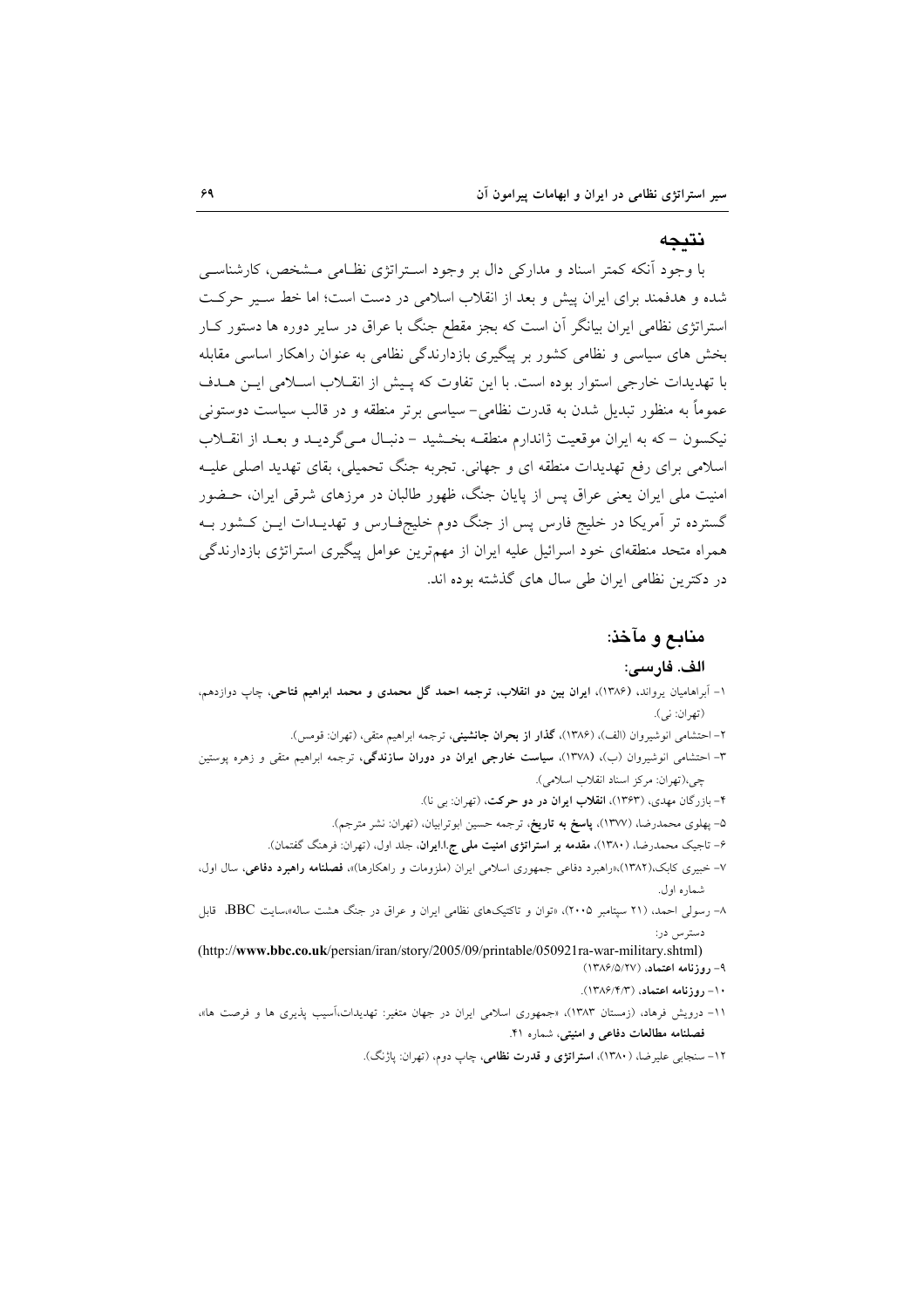#### نتىجە

با وجود آنکه کمتر اسناد و مدارکی دال بر وجود استراتژی نظامی مشخص، کارشناسی شده و هدفمند برای ایران پیش و بعد از انقلاب اسلامی در دست است؛ اما خط سبیر حرکت استراتژی نظامی ایران بیانگر آن است که بجز مقطع جنگ با عراق در سایر دوره ها دستور کـار بخش های سیاسی و نظامی کشور بر پیگیری بازدارندگی نظامی به عنوان راهکار اساسی مقابله با تهدیدات خارجی استوار بوده است. با این تفاوت که پیش از انقبلاب اسبلامی این هیدف عموماً به منظور تبدیل شدن به قدرت نظامی- سیاسی برتر منطقه و در قالب سیاست دوستونی نیکسون – که به ایران موقعیت ژاندارم منطقـه بخـشید – دنبـال مـی گردیـد و بعـد از انقــلاب اسلامی برای رفع تهدیدات منطقه ای و جهانی. تجربه جنگ تحمیلی، بقای تهدید اصلی علیـه امنیت ملی ایران یعنی عراق پس از پایان جنگ، ظهور طالبان در مرزهای شرقی ایران، حــضور گسترده تر آمریکا در خلیج فارس پس از جنگ دوم خلیجفـارس و تهدیــدات ایــن کــشور بــه همراه متحد منطقهای خود اسرائیل علیه ایران از مهمترین عوامل پیگیری استراتژی بازدارندگی در دکترین نظامی ایران طی سال های گذشته بوده اند.

## منابع و مآخذ:

#### الف. فارسى:

- ۱- اَبراهامیان یرواند. (۱۳۸۶)، ایران بین دو انقلاب، ترجمه احمد گل محمدی و محمد ابراهیم فتاحی، چاپ دوازدهم، (تهران: ني).
	- ٢- احتشامي انوشيروان (الف)، (١٣٨۶)، **كذار از بحران جانشين**ي، ترجمه ابراهيم متقى، (تهران: قومس).
- ۳- احتشام<sub>ی</sub> انوشیروان (ب)، (۱۳۷۸)، **سیاست خارجی ایران در دوران سازندگی**، ترجمه ابراهیم متقی و زهره یوستین چي،(تهران: مركز اسناد انقلاب اسلامي).
	- ۴– بازرگان مهدی، (۱۳۶۳)، ا**نقلاب ایران در دو حرکت**، (تهران: ب<sub>ی</sub> نا).
	- ۵– پهلوی محمدرضا، (۱۳۷۷)، **پاسخ به تاریخ**، ترجمه حسین ابوترابیان، (تهران: نشر مترجم).
	- ۶– تاجیک محمدرضا، (۱۳۸۰)، <mark>مقدمه بر استراتژی امنیت مل<sub>ی ج</sub>.ا.ایران</mark>، جلد اول، (تهران: فرهنگ گفتمان).
- ۷– خبیری کابک،(۱۳۸۲)،«راهبرد دفاعی جمهوری اسلامی ایران (ملزومات و راهکارها)»، فصلنامه **راهبرد دفاعی**، سال اول، شماره اول.
- ۸– رسولی احمد، (۲۱ سیتامبر ۲۰۰۵)، «توان و تاکتیکهای نظامی ایران و عراق در جنگ هشت ساله»سایت BBC، قابل دستا س ادر:

(http://www.bbc.co.uk/persian/iran/story/2005/09/printable/050921ra-war-military.shtml) ۹- روزنامه اعتماد، (۱۳۸۶/۵/۲۷)

- ۱۰- روزنامه اعتماد، (۱۳۸۶/۴/۳).
- ۱۱- درویش فرهاد، (زمستان ۱۳۸۳)، «جمهوری اسلامی ایران در جهان متغیر: تهدیدات،آسیب یذیری ها و فرصت ها»، فصلنامه مطالعات دفاعی و امنیتی، شماره ۴۱.
	- ۱۲– سنجابی علیرضا، (۱۳۸۰)، **استراتژی و قدرت نظامی**، چاپ دوم، (تهران: یاژنگ).